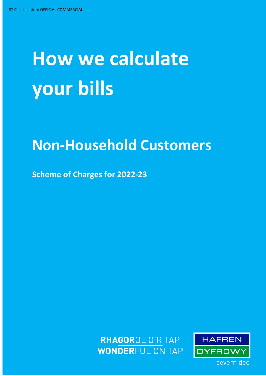# **How we calculate your bills**

# **Non-Household Customers**

**Scheme of Charges for 2022-23**



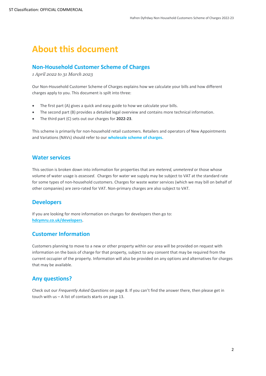# <span id="page-1-0"></span>**About this document**

# <span id="page-1-1"></span>**Non-Household Customer Scheme of Charges**

*1 April 2022 to 31 March 2023*

Our Non-Household Customer Scheme of Charges explains how we calculate your bills and how different charges apply to you. This document is spilt into three:

- The first part (A) gives a quick and easy guide to how we calculate your bills.
- The second part (B) provides a detailed legal overview and contains more technical information.
- The third part (C) sets out our charges for **2022-23**.

This scheme is primarily for non-household retail customers. Retailers and operators of New Appointments and Variations (NAVs) should refer to our **[wholesale scheme of charges.](https://www.stwater.co.uk/businesses/wholesale-charges/tariffs-and-charges/)**

#### **Water services**

This section is broken down into information for properties that are *metered, unmetered* or those whose volume of water usage is *assessed*. Charges for water we supply may be subject to VAT at the standard rate for some types of non-household customers. Charges for waste water services (which we may bill on behalf of other companies) are zero-rated for VAT. Non-primary charges are also subject to VAT.

# **Developers**

If you are looking for more information on charges for developers then go to: **[hdcymru.co.uk/developers](http://www.hdcymru.co.uk/developers)**.

# **Customer Information**

Customers planning to move to a new or other property within our area will be provided on request with information on the basis of charge for that property, subject to any consent that may be required from the current occupier of the property. Information will also be provided on any options and alternatives for charges that may be available.

# <span id="page-1-2"></span>**Any questions?**

Check out our *Frequently Asked Questions* on page 8. If you can't find the answer there, then please get in touch with us – A list of contacts **s**tarts on page 13.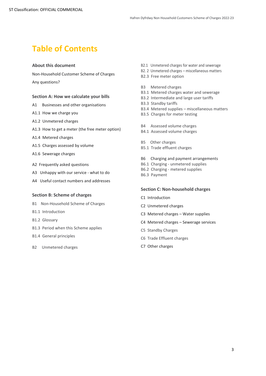# **Table of Contents**

#### **[About this document](#page-1-0) 2**

[Non-Household Customer Scheme of Charges](#page-1-1) 2 [Any questions?](#page-1-2) 2

#### **[Section A: How we calculate your bills](#page-2-0) 3**

- A1 Businesses and other organisations
- A1.1 [How we charge you](#page-3-1)
- [A1.2 Unmetered charges](#page-4-0)
- [A1.3 How to get a meter \(the free meter option\)](#page-5-0)
- [A1.4 Metered charges](#page-6-0)
- A1.5 Charges assessed by volume
- [A1.6 Sewerage charges](#page-7-0)
- [A2 Frequently asked questions](#page-7-1)
- A3 [Unhappy with our service](#page-9-0) what to do
- [A4 Useful contact numbers and addresses](#page-12-0)

#### **[Section B: Scheme of charges](#page-13-0)**

- [B1 Non-Household Scheme of Charges](#page-14-0)
- [B1.1 Introduction](#page-14-1)
- [B1.2 Glossary](#page-14-2)
- [B1.3 Period when this Scheme applies](#page-17-0)
- [B1.4 General principles](#page-17-1)
- <span id="page-2-0"></span>[B2 Unmetered charges](#page-19-0)
- [B2.1 Unmetered charges for water and sewerage](#page-19-1)
- [B2. 2 Unmetered charges](#page-19-2)  miscellaneous matters
- [B2.3 Free meter option](#page-20-0)
- [B3 Metered charges](#page-21-0)
- [B3.1 Metered charges water and sewerage](#page-21-1)
- [B3.2 Intermediate and large user tariffs](#page-27-0)
- [B3.3 Standby tariffs](#page-27-1)
- $B3.4$  Metered supplies miscellaneous matters
- [B3.5 Charges for meter testing](#page-29-0)
- B4 Assessed volume charges
- B4.1 Assessed volume charges
- B5 Other charges
- [B5.1 Trade effluent charges](#page-30-3)
- B6 Charging and payment arrangements
- B6.1 Charging unmetered supplies
- B6.2 Charging metered supplies
- B6.3 Payment

#### **Section C: Non-household charges**

- [C1 Introduction](#page-36-1)
- [C2 Unmetered charges](#page-36-2)
- [C3 Metered charges](#page-37-0)  Water supplies
- [C4 Metered charges](#page-39-0)  Sewerage services
- [C5 Standby Charges](#page-41-0)
- [C6 Trade Effluent charges](#page-42-0)
- [C7 Other charges](#page-43-0)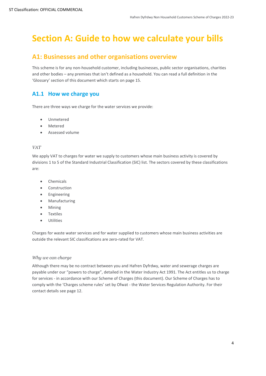# **Section A: Guide to how we calculate your bills**

# <span id="page-3-0"></span>**A1: Businesses and other organisations overview**

This scheme is for any non-household customer, including businesses, public sector organisations, charities and other bodies – any premises that isn't defined as a household. You can read a full definition in the 'Glossary' section of this document which starts on page 15.

# <span id="page-3-1"></span>**A1.1 How we charge you**

There are three ways we charge for the water services we provide:

- Unmetered
- Metered
- Assessed volume

#### *VAT*

We apply VAT to charges for water we supply to customers whose main business activity is covered by divisions 1 to 5 of the Standard Industrial Classification (SIC) list. The sectors covered by these classifications are:

- Chemicals
- Construction
- Engineering
- Manufacturing
- Mining
- Textiles
- **Utilities**

Charges for waste water services and for water supplied to customers whose main business activities are outside the relevant SIC classifications are zero-rated for VAT.

#### *Why we can charge*

Although there may be no contract between you and Hafren Dyfrdwy, water and sewerage charges are payable under our "powers to charge", detailed in the Water Industry Act 1991. The Act entitles us to charge for services - in accordance with our Scheme of Charges (this document). Our Scheme of Charges has to comply with the 'Charges scheme rules' set by Ofwat - the Water Services Regulation Authority. For their contact details see page 12.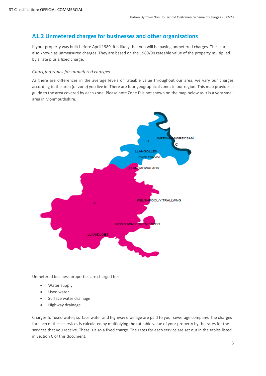# <span id="page-4-0"></span>**A1.2 Unmetered charges for businesses and other organisations**

If your property was built before April 1989, it is likely that you will be paying unmetered charges. These are also known as unmeasured charges. They are based on the 1989/90 rateable value of the property multiplied by a rate plus a fixed charge.

#### *Charging zones for unmetered charges*

As there are differences in the average levels of rateable value throughout our area, we vary our charges according to the area (or zone) you live in. There are four geographical zones in our region. This map provides a guide to the area covered by each zone. Please note Zone D is not shown on the map below as it is a very small area in Monmouthshire.



Unmetered business properties are charged for:

- Water supply
- Used water
- Surface water drainage
- Highway drainage

Charges for used water, surface water and highway drainage are paid to your sewerage company. The charges for each of these services is calculated by multiplying the rateable value of your property by the rates for the services that you receive. There is also a fixed charge. The rates for each service are set out in the tables listed in Section C of this document.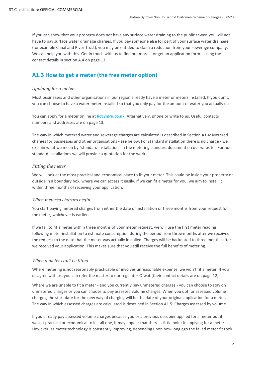If you can show that your property does not have any surface water draining to the public sewer, you will not have to pay surface water drainage charges. If you pay someone else for part of your surface water drainage (for example Canal and River Trust), you may be entitled to claim a reduction from your sewerage company. We can help you with this. Get in touch with us to find out more – or get an application form – using the contact details in section A.4 on page 13.

# <span id="page-5-0"></span>**A1.3 How to get a meter (the free meter option)**

#### *Applying for a meter*

Most businesses and other organisations in our region already have a meter or meters installed. If you don't, you can choose to have a water meter installed so that you only pay for the amount of water you actually use.

You can apply for a meter online at **[hdcymru.co.uk](http://www.hdcymru.co.uk/my-account/my-water-meter/apply-for-a-water-meter/)**. Alternatively, phone or write to us. Useful contacts numbers and addresses are on page 13.

The way in which metered water and sewerage charges are calculated is described in Section A1.4: Metered charges for businesses and other organisations - see below. For standard installation there is no charge - we explain what we mean by "standard installation" in the [metering standard](https://www.stwater.co.uk/businesses/retailers/) document on our website. For nonstandard installations we will provide a quotation for the work.

#### *Fitting the meter*

We will look at the most practical and economical place to fit your meter. This could be inside your property or outside in a boundary box, where we can access it easily. If we can fit a meter for you, we aim to install it within three months of receiving your application.

#### *When metered charges begin*

You start paying metered charges from either the date of installation or three months from your request for the meter, whichever is earlier.

If we fail to fit a meter within three months of your meter request, we will use the first meter reading following meter installation to estimate consumption during the period from three months after we received the request to the date that the meter was actually installed. Charges will be backdated to three months after we received your application*.* This makes sure that you still receive the full benefits of metering.

#### *When a meter can't be fitted*

Where metering is not reasonably practicable or involves unreasonable expense, we won't fit a meter. If you disagree with us, you can refer the matter to our regulator Ofwat (their contact details are on page 12).

Where we are unable to fit a meter - and you currently pay unmetered charges - you can choose to stay on unmetered charges or you can choose to pay assessed volume charges. When you opt for assessed volume charges, the start date for the new way of charging will be the date of your original application for a meter. The way in which assessed charges are calculated is described in Section A1.5: Charges assessed by volume.

If you already pay assessed volume charges because you or a previous occupier applied for a meter but it wasn't practical or economical to install one, it may appear that there is little point in applying for a meter. However, as meter technology is constantly improving, depending upon how long ago the failed meter fit took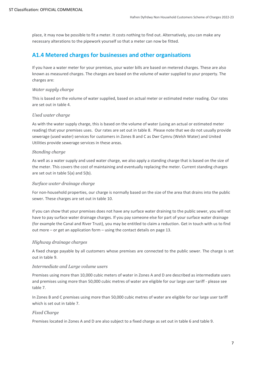place, it may now be possible to fit a meter. It costs nothing to find out. Alternatively, you can make any necessary alterations to the pipework yourself so that a meter can now be fitted.

# <span id="page-6-0"></span>**A1.4 Metered charges for businesses and other organisations**

If you have a water meter for your premises, your water bills are based on metered charges. These are also known as measured charges. The charges are based on the volume of water supplied to your property. The charges are:

#### *Water supply charge*

This is based on the volume of water supplied, based on actual meter or estimated meter reading. Our rates are set out in table 4.

#### *Used water charge*

As with the water supply charge, this is based on the volume of water (using an actual or estimated meter reading) that your premises uses. Our rates are set out in table 8. Please note that we do not usually provide sewerage (used water) services for customers in Zones B and C as Dwr Cymru (Welsh Water) and United Utilities provide sewerage services in these areas.

#### *Standing charge*

As well as a water supply and used water charge, we also apply a standing charge that is based on the size of the meter. This covers the cost of maintaining and eventually replacing the meter. Current standing charges are set out in table 5(a) and 5(b).

#### *Surface water drainage charge*

For non-household properties, our charge is normally based on the size of the area that drains into the public sewer. These charges are set out in table 10.

If you can show that your premises does not have any surface water draining to the public sewer, you will not have to pay surface water drainage charges. If you pay someone else for part of your surface water drainage (for example the Canal and River Trust), you may be entitled to claim a reduction. Get in touch with us to find out more – or get an application form – using the contact details on page [13.](#page-11-0)

#### *Highway drainage charges*

A fixed charge payable by all customers whose premises are connected to the public sewer. The charge is set out in table 9.

#### *Intermediate and Large volume users*

Premises using more than 10,000 cubic meters of water in Zones A and D are described as intermediate users and premises using more than 50,000 cubic metres of water are eligible for our large user tariff - please see table 7.

In Zones B and C premises using more than 50,000 cubic metres of water are eligible for our large user tariff which is set out in table 7.

#### *Fixed Charge*

Premises located in Zones A and D are also subject to a fixed charge as set out in table 6 and table 9.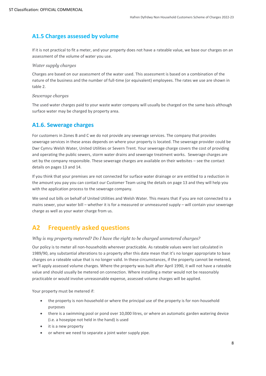# **A1.5 Charges assessed by volume**

If it is not practical to fit a meter, and your property does not have a rateable value, we base our charges on an assessment of the volume of water you use.

#### *Water supply charges*

Charges are based on our assessment of the water used. This assessment is based on a combination of the nature of the business and the number of full-time (or equivalent) employees. The rates we use are shown in table 2.

#### *Sewerage charges*

The used water charges paid to your waste water company will usually be charged on the same basis although surface water may be charged by property area.

#### <span id="page-7-0"></span>**A1.6. Sewerage charges**

For customers in Zones B and C we do not provide any sewerage services. The company that provides sewerage services in these areas depends on where your property is located. The sewerage provider could be Dwr Cymru Welsh Water, United Utilities or Severn Trent. Your sewerage charge covers the cost of providing and operating the public sewers, storm water drains and sewerage treatment works. Sewerage charges are set by the company responsible. These sewerage charges are available on their websites – see the contact details on pages 13 and 14.

If you think that your premises are not connected for surface water drainage or are entitled to a reduction in the amount you pay you can contact our Customer Team using the details on page [13](#page-11-0) and they will help you with the application process to the sewerage company.

We send out bills on behalf of United Utilities and Welsh Water. This means that if you are not connected to a mains sewer, your water bill – whether it is for a measured or unmeasured supply – will contain your sewerage charge as well as your water charge from us.

# <span id="page-7-1"></span>**A2 Frequently asked questions**

#### *Why is my property metered? Do I have the right to be charged unmetered charges?*

Our policy is to meter all non-households wherever practicable. As rateable values were last calculated in 1989/90, any substantial alterations to a property after this date mean that it's no longer appropriate to base charges on a rateable value that is no longer valid. In these circumstances, if the property cannot be metered, we'll apply assessed volume charges. Where the property was built after April 1990, it will not have a rateable value and should usually be metered on connection. Where installing a meter would not be reasonably practicable or would involve unreasonable expense, assessed volume charges will be applied.

Your property must be metered if:

- the property is non-household or where the principal use of the property is for non-household purposes
- there is a swimming pool or pond over 10,000 litres, or where an automatic garden watering device (i.e. a hosepipe not held in the hand) is used
- it is a new property
- or where we need to separate a joint water supply pipe.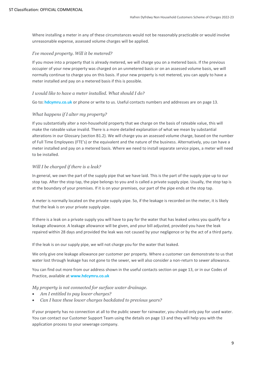Where installing a meter in any of these circumstances would not be reasonably practicable or would involve unreasonable expense, assessed volume charges will be applied.

#### *I've moved property. Will it be metered?*

If you move into a property that is already metered, we will charge you on a metered basis. If the previous occupier of your new property was charged on an unmetered basis or on an assessed volume basis, we will normally continue to charge you on this basis. If your new property is not metered, you can apply to have a meter installed and pay on a metered basis if this is possible.

#### *I would like to have a meter installed. What should I do?*

Go to**: [hdcymru.co.uk](https://hdcymru.co.uk/my-account/my-water-meter/apply-for-a-water-meter/)** or phone or write to us. Useful contacts numbers and addresses are on page 13.

#### *What happens if I alter my property?*

If you substantially alter a non-household property that we charge on the basis of rateable value, this will make the rateable value invalid. There is a more detailed explanation of what we mean by substantial alterations in our Glossary (section B1.2). We will charge you an assessed volume charge, based on the number of Full Time Employees (FTE's) or the equivalent and the nature of the business. Alternatively, you can have a meter installed and pay on a metered basis. Where we need to install separate service pipes, a meter will need to be installed.

#### *Will I be charged if there is a leak?*

In general, we own the part of the supply pipe that we have laid. This is the part of the supply pipe up to our stop tap. After the stop tap, the pipe belongs to you and is called a private supply pipe. Usually, the stop tap is at the boundary of your premises. If it is on your premises, our part of the pipe ends at the stop tap.

A meter is normally located on the private supply pipe. So, if the leakage is recorded on the meter, it is likely that the leak is on your private supply pipe.

If there is a leak on a private supply you will have to pay for the water that has leaked unless you qualify for a leakage allowance. A leakage allowance will be given, and your bill adjusted, provided you have the leak repaired within 28 days and provided the leak was not caused by your negligence or by the act of a third party.

If the leak is on our supply pipe, we will not charge you for the water that leaked.

We only give one leakage allowance per customer per property. Where a customer can demonstrate to us that water lost through leakage has not gone to the sewer, we will also consider a non-return to sewer allowance.

You can find out more from our address shown in the useful contacts section on page 13, or in our Codes of Practice, available at **www.hdcymru.co.uk**

*My property is not connected for surface water drainage.*

- *Am I entitled to pay lower charges?*
- *Can I have these lower charges backdated to previous years?*

If your property has no connection at all to the public sewer for rainwater, you should only pay for used water. You can contact our Customer Support Team using the details on page [13](#page-11-0) and they will help you with the application process to your sewerage company.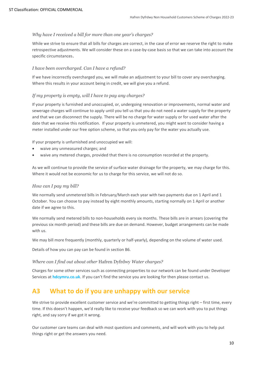#### *Why have I received a bill for more than one year's charges?*

While we strive to ensure that all bills for charges are correct, in the case of error we reserve the right to make retrospective adjustments. We will consider these on a case-by-case basis so that we can take into account the specific circumstances.

#### *I have been overcharged. Can I have a refund?*

If we have incorrectly overcharged you, we will make an adjustment to your bill to cover any overcharging. Where this results in your account being in credit, we will give you a refund.

#### *If my property is empty, will I have to pay any charges?*

If your property is furnished and unoccupied, or, undergoing renovation or improvements, normal water and sewerage charges will continue to apply until you tell us that you do not need a water supply for the property and that we can disconnect the supply. There will be no charge for water supply or for used water after the date that we receive this notification. If your property is unmetered, you might want to consider having a meter installed under our free option scheme, so that you only pay for the water you actually use.

If your property is unfurnished and unoccupied we will:

- waive any unmeasured charges; and
- waive any metered charges, provided that there is no consumption recorded at the property.

As we will continue to provide the service of surface water drainage for the property, we may charge for this. Where it would not be economic for us to charge for this service, we will not do so.

#### *How can I pay my bill?*

We normally send unmetered bills in February/March each year with two payments due on 1 April and 1 October. You can choose to pay instead by eight monthly amounts, starting normally on 1 April or another date if we agree to this.

We normally send metered bills to non-households every six months. These bills are in arrears (covering the previous six month period) and these bills are due on demand. However, budget arrangements can be made with us.

We may bill more frequently (monthly, quarterly or half-yearly), depending on the volume of water used.

Details of how you can pay can be found in section B6.

#### *Where can I find out about other* Hafren Dyfrdwy *Water charges?*

Charges for some other services such as connecting properties to our network can be found under Developer Services at **[hdcymru.co.uk](https://www.hdcymru.co.uk/developers)**. If you can't find the service you are looking for then please contact us.

# <span id="page-9-0"></span>**A3 What to do if you are unhappy with our service**

We strive to provide excellent customer service and we're committed to getting things right – first time, every time. If this doesn't happen, we'd really like to receive your feedback so we can work with you to put things right, and say sorry if we got it wrong.

Our customer care teams can deal with most questions and comments, and will work with you to help put things right or get the answers you need.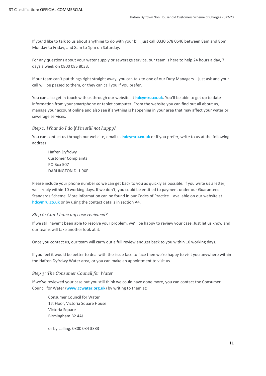If you'd like to talk to us about anything to do with your bill, just call 0330 678 0646 between 8am and 8pm Monday to Friday, and 8am to 1pm on Saturday.

For any questions about your water supply or sewerage service, our team is here to help 24 hours a day, 7 days a week on 0800 085 8033.

If our team can't put things right straight away, you can talk to one of our Duty Managers – just ask and your call will be passed to them, or they can call you if you prefer.

You can also get in touch with us through our website at **[hdcymru.co.uk](http://www.hdcymru.co.uk/)**. You'll be able to get up to date information from your smartphone or tablet computer. From the website you can find out all about us, manage your account online and also see if anything is happening in your area that may affect your water or sewerage services.

#### *Step 1: What do I do if I'm still not happy?*

You can contact us through our website, email us **[hdcymru.co.uk](https://www.hdcymru.co.uk/help-and-contact/contact-us/)** or if you prefer, write to us at the following address:

Hafren Dyfrdwy Customer Complaints PO Box 507 DARLINGTON DL1 9XF

Please include your phone number so we can get back to you as quickly as possible. If you write us a letter, we'll reply within 10 working days. If we don't, you could be entitled to payment under our Guaranteed Standards Scheme. More information can be found in our Codes of Practice – available on our website at **[hdcymru.co.uk](http://www.hdcymru.co.uk/)** or by using the contact details in section A4.

#### *Step 2: Can I have my case reviewed?*

If we still haven't been able to resolve your problem, we'll be happy to review your case. Just let us know and our teams will take another look at it.

Once you contact us, our team will carry out a full review and get back to you within 10 working days.

If you feel it would be better to deal with the issue face to face then we're happy to visit you anywhere within the Hafren Dyfrdwy Water area, or you can make an appointment to visit us.

#### *Step 3: The Consumer Council for Water*

If we've reviewed your case but you still think we could have done more, you can contact the Consumer Council for Water (**[www.ccwater.org.uk](http://www.ccwater.org.uk/)**) by writing to them at:

Consumer Council for Water 1st Floor, Victoria Square House Victoria Square Birmingham B2 4AJ

or by calling: 0300 034 3333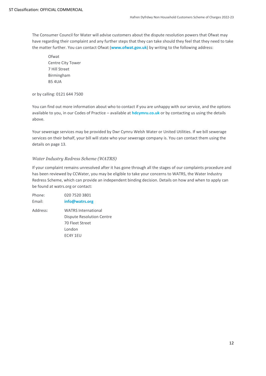The Consumer Council for Water will advise customers about the dispute resolution powers that Ofwat may have regarding their complaint and any further steps that they can take should they feel that they need to take the matter further. You can contact Ofwat (**[www.ofwat.gov.uk](http://www.ofwat.gov.uk/)**) by writing to the following address:

Ofwat Centre City Tower 7 Hill Street Birmingham B5 4UA

or by calling: 0121 644 7500

You can find out more information about who to contact if you are unhappy with our service, and the options available to you, in our Codes of Practice – available at **[hdcymru.co.uk](http://www.hdcymru.co.uk/)** or by contacting us using the details above.

Your sewerage services may be provided by Dwr Cymru Welsh Water or United Utilities. If we bill sewerage services on their behalf, your bill will state who your sewerage company is. You can contact them using the details on page [13.](#page-11-0)

#### *Water Industry Redress Scheme (WATRS)*

If your complaint remains unresolved after it has gone through all the stages of our complaints procedure and has been reviewed by CCWater, you may be eligible to take your concerns to WATRS, the Water Industry Redress Scheme, which can provide an independent binding decision. Details on how and when to apply can be found at watrs.org or contact:

<span id="page-11-0"></span>Phone: 020 7520 3801 Email: **info@watrs.org** Address: WATRS International Dispute Resolution Centre 70 Fleet Street London EC4Y 1EU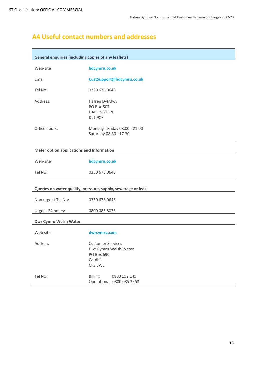# <span id="page-12-0"></span>**A4 Useful contact numbers and addresses**

| <b>General enquiries (including copies of any leaflets)</b> |                                                                                       |
|-------------------------------------------------------------|---------------------------------------------------------------------------------------|
| Web-site                                                    | hdcymru.co.uk                                                                         |
| Email                                                       | CustSupport@hdcymru.co.uk                                                             |
| Tel No:                                                     | 0330 678 0646                                                                         |
| Address:                                                    | Hafren Dyfrdwy<br>PO Box 507<br><b>DARLINGTON</b><br>DL1 9XF                          |
| Office hours:                                               | Monday - Friday 08.00 - 21.00<br>Saturday 08.30 - 17.30                               |
| Meter option applications and Information                   |                                                                                       |
| Web-site                                                    | hdcymru.co.uk                                                                         |
| Tel No:                                                     | 0330 678 0646                                                                         |
|                                                             | Queries on water quality, pressure, supply, sewerage or leaks                         |
| Non urgent Tel No:                                          | 0330 678 0646                                                                         |
| Urgent 24 hours:                                            | 0800 085 8033                                                                         |
| Dwr Cymru Welsh Water                                       |                                                                                       |
| Web site                                                    | dwrcymru.com                                                                          |
| <b>Address</b>                                              | <b>Customer Services</b><br>Dwr Cymru Welsh Water<br>PO Box 690<br>Cardiff<br>CF3 5WL |
| Tel No:                                                     | <b>Billing</b><br>0800 152 145<br>Operational 0800 085 3968                           |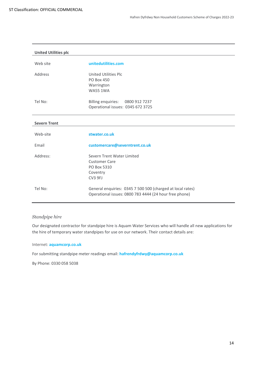| <b>United Utilities plc</b> |                                                            |
|-----------------------------|------------------------------------------------------------|
|                             |                                                            |
| Web site                    | unitedutilities.com                                        |
| Address                     | United Utilities Plc                                       |
|                             | PO Box 450                                                 |
|                             | Warrington                                                 |
|                             | <b>WA55 1WA</b>                                            |
| Tel No:                     | Billing enquiries: 0800 912 7237                           |
|                             | Operational issues: 0345 672 3725                          |
| <b>Severn Trent</b>         |                                                            |
|                             |                                                            |
| Web-site                    | stwater.co.uk                                              |
| Email                       | customercare@severntrent.co.uk                             |
| Address:                    | Severn Trent Water Limited                                 |
|                             | <b>Customer Care</b>                                       |
|                             | PO Box 5310                                                |
|                             | Coventry                                                   |
|                             | CV <sub>3</sub> 9FJ                                        |
| Tel No:                     | General enquiries: 0345 7 500 500 (charged at local rates) |
|                             | Operational issues: 0800 783 4444 (24 hour free phone)     |

#### *Standpipe hire*

<span id="page-13-0"></span>Our designated contractor for standpipe hire is Aquam Water Services who will handle all new applications for the hire of temporary water standpipes for use on our network. Their contact details are:

#### Internet: **[aquamcorp.co.uk](https://www.aquamcorp.co.uk/water-services/partners/hafren-dyfrdwy/severn-dee)**

For submitting standpipe meter readings email: **[hafrendyfrdwy@aquamcorp.co.uk](mailto:hafrendyfrdwy@aquamcorp.co.uk)**

By Phone: 0330 058 5038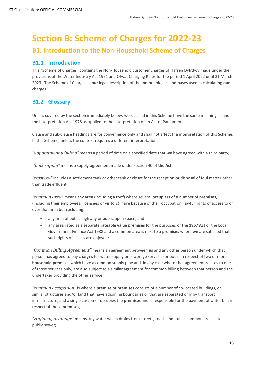# **Section B: Scheme of Charges for 2022-23**

# <span id="page-14-0"></span>**B1. Introduction to the Non-Household Scheme of Charges**

# <span id="page-14-1"></span>**B1.1 Introduction**

This "Scheme of Charges" contains the Non-Household customer charges of Hafren Dyfrdwy made under the provisions of the Water Industry Act 1991 and Ofwat Charging Rules for the period 1 April 2022 until 31 March 2023. The Scheme of Charges is **our** legal description of the methodologies and bases used in calculating **our** charges.

# <span id="page-14-2"></span>**B1.2 Glossary**

Unless covered by the section immediately below, words used in this Scheme have the same meaning as under the Interpretation Act 1978 as applied to the interpretation of an Act of Parliament.

Clause and sub-clause headings are for convenience only and shall not affect the interpretation of this Scheme. In this Scheme, unless the context requires a different interpretation:

*"appointment window"* means a period of time on a specified date that **we** have agreed with a third party;

*"bulk supply"* means a supply agreement made under section 40 of **the Act**;

*"cesspool"* includes a settlement tank or other tank or closet for the reception or disposal of foul matter other than trade effluent;

*"common area*" means any area (including a roof) where several **occupiers** of a number of **premises**, (including their employees, licensees or visitors), have because of their occupation, lawful rights of access to or over that area but excluding:

- any area of public highway or public open space; and
- any area rated as a separate **rateable value premises** for the purposes of **the 1967 Act** or the Local Government Finance Act 1988 and a common area is next to a **premises** where **we** are satisfied that such rights of access are enjoyed;

*"Common Billing Agreement"* means an agreement between **us** and any other person under which that person has agreed to pay charges for water supply or sewerage services (or both) in respect of two or more **household premises** which have a common supply pipe and, in any case where that agreement relates to one of those services only, are also subject to a similar agreement for common billing between that person and the undertaker providing the other service;

*"common occupation"* is where a **premise** or **premises** consists of a number of co-located buildings, or similar structures and/or land that have adjoining boundaries or that are separated only by transport infrastructure, and a single customer occupies the **premises** and is responsible for the payment of water bills in respect of those **premises**;

*"Highway drainage"* means any water which drains from streets, roads and public common areas into a public sewer;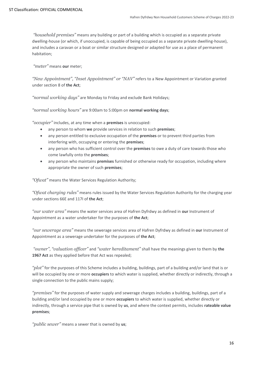*"household premises"* means any building or part of a building which is occupied as a separate private dwelling-house (or which, if unoccupied, is capable of being occupied as a separate private dwelling-house), and includes a caravan or a boat or similar structure designed or adapted for use as a place of permanent habitation;

*"meter"* means **our** meter;

*"New Appointment", "Inset Appointment" or "NAV"* refers to a New Appointment or Variation granted under section 8 of **the Act**;

*"normal working days"* are Monday to Friday and exclude Bank Holidays;

*"normal working hours"* are 9:00am to 5:00pm on **normal working days**;

*"occupier"* includes, at any time when a **premises** is unoccupied:

- any person to whom **we** provide services in relation to such **premises**;
- any person entitled to exclusive occupation of the **premises** or to prevent third parties from interfering with, occupying or entering the **premises**;
- any person who has sufficient control over the **premises** to owe a duty of care towards those who come lawfully onto the **premises**;
- any person who maintains **premises** furnished or otherwise ready for occupation, including where appropriate the owner of such **premises**;

*"Ofwat"* means the Water Services Regulation Authority;

*"Ofwat charging rules"* means rules issued by the Water Services Regulation Authority for the charging year under sections 66E and 117I of **the Act**;

*"our water area"* means the water services area of Hafren Dyfrdwy as defined in **our** Instrument of Appointment as a water undertaker for the purposes of **the Act**;

*"our sewerage area"* means the sewerage services area of Hafren Dyfrdwy as defined in **our** Instrument of Appointment as a sewerage undertaker for the purposes of **the Act**;

*"owner"*, *"valuation officer"* and *"water hereditament"* shall have the meanings given to them by **the**  1967 Act as they applied before that Act was repealed;

*"plot"* for the purposes of this Scheme includes a building, buildings, part of a building and/or land that is or will be occupied by one or more **occupiers** to which water is supplied, whether directly or indirectly, through a single connection to the public mains supply;

*"premises"* for the purposes of water supply and sewerage charges includes a building, buildings, part of a building and/or land occupied by one or more **occupiers** to which water is supplied, whether directly or indirectly, through a service pipe that is owned by **us**, and where the context permits, includes **rateable value premises**;

*"public sewer"* means a sewer that is owned by **us**;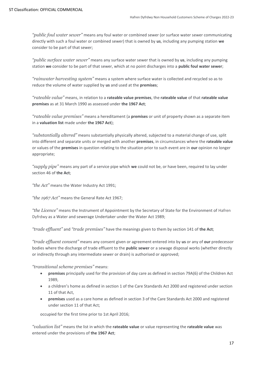*"public foul water sewer"* means any foul water or combined sewer (or surface water sewer communicating directly with such a foul water or combined sewer) that is owned by **us**, including any pumping station **we** consider to be part of that sewer;

*"public surface water sewer"* means any surface water sewer that is owned by **us**, including any pumping station **we** consider to be part of that sewer, which at no point discharges into a **public foul water sewer**;

*"rainwater harvesting system"* means a system where surface water is collected and recycled so as to reduce the volume of water supplied by **us** and used at the **premises**;

*"rateable value"* means, in relation to a **rateable value premises**, the **rateable value** of that **rateable value premises** as at 31 March 1990 as assessed under **the 1967 Act**;

*"rateable value premises"* means a hereditament (a **premises** or unit of property shown as a separate item in a **valuation list** made under **the 1967 Act**);

*"substantially altered"* means substantially physically altered, subjected to a material change of use, split into different and separate units or merged with another **premises**, in circumstances where the **rateable value** or values of the **premises** in question relating to the situation prior to such event are in **our** opinion no longer appropriate;

*"supply pipe"* means any part of a service pipe which **we** could not be, or have been, required to lay under section 46 of **the Act**;

*"the Act"* means the Water Industry Act 1991;

*"the 1967 Act"* means the General Rate Act 1967;

*"the Licence"* means the Instrument of Appointment by the Secretary of State for the Environment of Hafren Dyfrdwy as a Water and sewerage Undertaker under the Water Act 1989;

*"trade effluent"* and *"trade premises"* have the meanings given to them by section 141 of **the Act**;

*"trade effluent consent"* means any consent given or agreement entered into by **us** or any of **our** predecessor bodies where the discharge of trade effluent to the **public sewer** or a sewage disposal works (whether directly or indirectly through any intermediate sewer or drain) is authorised or approved;

*"transitional scheme premises"* means:

- **premises** principally used for the provision of day care as defined in section 79A(6) of the Children Act 1989,
- a children's home as defined in section 1 of the Care Standards Act 2000 and registered under section 11 of that Act,
- **premises** used as a care home as defined in section 3 of the Care Standards Act 2000 and registered under section 11 of that Act;

occupied for the first time prior to 1st April 2016;

*"valuation list"* means the list in which the **rateable value** or value representing the **rateable value** was entered under the provisions of **the 1967 Act**;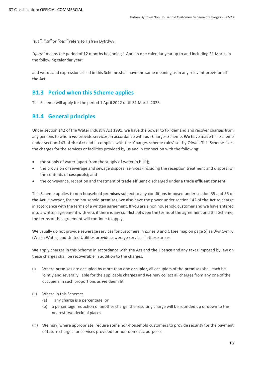*"we", "us"* or *"our"* refers to Hafren Dyfrdwy;

*"year"* means the period of 12 months beginning 1 April in one calendar year up to and including 31 March in the following calendar year;

and words and expressions used in this Scheme shall have the same meaning as in any relevant provision of **the Act**.

#### <span id="page-17-0"></span>**B1.3 Period when this Scheme applies**

This Scheme will apply for the period 1 April 2022 until 31 March 2023.

#### <span id="page-17-1"></span>**B1.4 General principles**

Under section 142 of the Water Industry Act 1991, **we** have the power to fix, demand and recover charges from any persons to whom **we** provide services, in accordance with **our** Charges Scheme. **We** have made this Scheme under section 143 of **the Act** and it complies with the 'Charges scheme rules' set by Ofwat. This Scheme fixes the charges for the services or facilities provided by **us** and in connection with the following:

- the supply of water (apart from the supply of water in bulk);
- the provision of sewerage and sewage disposal services (including the reception treatment and disposal of the contents of **cesspools**); and
- the conveyance, reception and treatment of **trade effluent** discharged under a **trade effluent consent**.

This Scheme applies to non household **premises** subject to any conditions imposed under section 55 and 56 of **the Act**. However, for non household **premises**, **we** also have the power under section 142 of **the Act** to charge in accordance with the terms of a written agreement. If you are a non household customer and **we** have entered into a written agreement with you, if there is any conflict between the terms of the agreement and this Scheme, the terms of the agreement will continue to apply.

**We** usually do not provide sewerage services for customers in Zones B and C (see map on page 5) as Dwr Cymru (Welsh Water) and United Utilities provide sewerage services in these areas.

**We** apply charges in this Scheme in accordance with **the Act** and **the Licence** and any taxes imposed by law on these charges shall be recoverable in addition to the charges.

- (i) Where **premises** are occupied by more than one **occupier**, all occupiers of the **premises** shall each be jointly and severally liable for the applicable charges and **we** may collect all charges from any one of the occupiers in such proportions as **we** deem fit.
- (ii) Where in this Scheme:
	- (a) any charge is a percentage; or
	- (b) a percentage reduction of another charge, the resulting charge will be rounded up or down to the nearest two decimal places.
- (iii) **We** may, where appropriate, require some non-household customers to provide security for the payment of future charges for services provided for non-domestic purposes.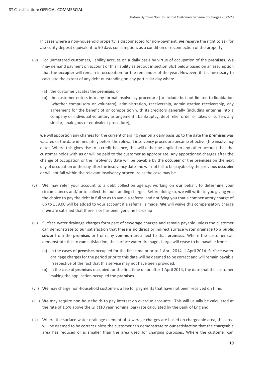In cases where a non-household property is disconnected for non-payment, **we** reserve the right to ask for a security deposit equivalent to 90 days consumption, as a condition of reconnection of the property.

- (iv) For unmetered customers, liability accrues on a daily basis by virtue of occupation of the **premises**. **We** may demand payment on account of this liability as set out in section B6.1 below based on an assumption that the **occupier** will remain in occupation for the remainder of the year. However, if it is necessary to calculate the extent of any debt outstanding on any particular day when:
	- (a) the customer vacates the **premises**; or
	- (b) the customer enters into any formal insolvency procedure [to include but not limited to liquidation (whether compulsory or voluntary), administration, receivership, administrative receivership, any agreement for the benefit of or composition with its creditors generally (including entering into a company or individual voluntary arrangement), bankruptcy, debt relief order or takes or suffers any similar, analogous or equivalent procedure],

**we** will apportion any charges for the current charging year on a daily basis up to the date the **premises** was vacated or the date immediately before the relevant insolvency procedure became effective (the insolvency date). Where this gives rise to a credit balance, this will either be applied to any other account that the customer holds with **us** or will be paid to the customer as appropriate. Any apportioned charges after the change of occupation or the insolvency date will be payable by the **occupier** of the **premises** on the next day of occupation or the day after the insolvency date and will not fall to be payable by the previous **occupier** or will not fall within the relevant insolvency procedure as the case may be.

- (v) **We** may refer your account to a debt collection agency, working on **our** behalf, to determine your circumstances and/ or to collect the outstanding charges. Before doing so, **we** will write to you giving you the choice to pay the debt in full so as to avoid a referral and notifying you that a compensatory charge of up to £39.00 will be added to your account if a referral is made. **We** will waive this compensatory charge if **we** are satisfied that there is or has been genuine hardship
- (vi) Surface water drainage charges form part of sewerage charges and remain payable unless the customer can demonstrate to **our** satisfaction that there is no direct or indirect surface water drainage to a **public sewer** from the **premises** or from any **common area** next to that **premises**. Where the customer can demonstrate this to **our** satisfaction, the surface water drainage charge will cease to be payable from:
	- (a) In the cases of **premises** occupied for the first time prior to 1 April 2014, 1 April 2014. Surface water drainage charges for the period prior to this date will be deemed to be correct and will remain payable irrespective of the fact that this service may not have been provided.
	- (b) In the case of **premises** occupied for the first time on or after 1 April 2014, the date that the customer making the application occupied the **premises**.
- (vii) **We** may charge non-household customers a fee for payments that have not been received on time.
- (viii) **We** may require non-households to pay interest on overdue accounts. This will usually be calculated at the rate of 1.5% above the GIR (10 year nominal par) rate calculated by the Bank of England.
- (ix) Where the surface water drainage element of sewerage charges are based on chargeable area, this area will be deemed to be correct unless the customer can demonstrate to **our** satisfaction that the chargeable area has reduced or is smaller than the area used for charging purposes. Where the customer can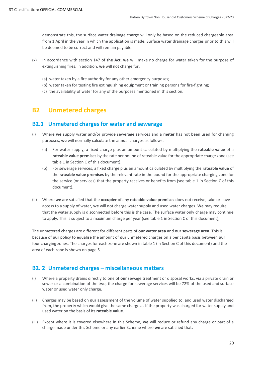demonstrate this, the surface water drainage charge will only be based on the reduced chargeable area from 1 April in the year in which the application is made. Surface water drainage charges prior to this will be deemed to be correct and will remain payable.

- (x) In accordance with section 147 of **the Act, we** will make no charge for water taken for the purpose of extinguishing fires. In addition, **we** will not charge for:
	- (a) water taken by a fire authority for any other emergency purposes;
	- (b) water taken for testing fire extinguishing equipment or training persons for fire-fighting;
	- (c) the availability of water for any of the purposes mentioned in this section.

# <span id="page-19-0"></span>**B2 Unmetered charges**

#### <span id="page-19-1"></span>**B2.1 Unmetered charges for water and sewerage**

- (i) Where **we** supply water and/or provide sewerage services and a **meter** has not been used for charging purposes, **we** will normally calculate the annual charges as follows:
	- (a) For water supply, a fixed charge plus an amount calculated by multiplying the **rateable value** of a **rateable value premises** by the rate per pound of rateable value for the appropriate charge zone (see table 1 in Section C of this document).
	- (b) For sewerage services, a fixed charge plus an amount calculated by multiplying the **rateable value** of the **rateable value premises** by the relevant rate in the pound for the appropriate charging zone for the service (or services) that the property receives or benefits from (see table 1 in Section C of this document).
- (ii) Where **we** are satisfied that the **occupier** of any **rateable value premises** does not receive, take or have access to a supply of water, **we** will not charge water supply and used water charges. **We** may require that the water supply is disconnected before this is the case. The surface water only charge may continue to apply. This is subject to a maximum charge per year (see table 1 in Section C of this document);

The unmetered charges are different for different parts of **our water area** and **our sewerage area.** This is because of **our** policy to equalise the amount of **our** unmetered charges on a per capita basis between **our** four charging zones. The charges for each zone are shown in table 1 (in Section C of this document) and the area of each zone is shown on page 5.

#### <span id="page-19-2"></span>**B2. 2 Unmetered charges – miscellaneous matters**

- (i) Where a property drains directly to one of **our** sewage treatment or disposal works, via a private drain or sewer or a combination of the two, the charge for sewerage services will be 72% of the used and surface water or used water only charge.
- (ii) Charges may be based on **our** assessment of the volume of water supplied to, and used water discharged from, the property which would give the same charge as if the property was charged for water supply and used water on the basis of its **rateable value**.
- (iii) Except where it is covered elsewhere in this Scheme, **we** will reduce or refund any charge or part of a charge made under this Scheme or any earlier Scheme where **we** are satisfied that: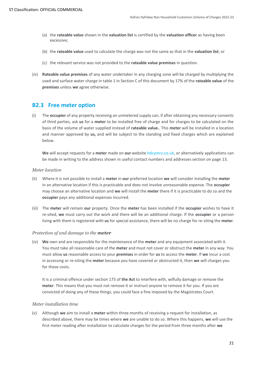- (a) the **rateable value** shown in the **valuation list** is certified by the **valuation officer** as having been excessive;
- (b) the **rateable value** used to calculate the charge was not the same as that in the **valuation list**; or
- (c) the relevant service was not provided to the **rateable value premises** in question.
- (iv) **Rateable value premises** of any water undertaker in any charging zone will be charged by multiplying the used and surface water charge in table 1 in Section C of this document by 17% of the **rateable value** of the **premises** unless **we** agree otherwise.

#### <span id="page-20-0"></span>**B2.3 Free meter option**

(i) The **occupier** of any property receiving an unmetered supply can, if after obtaining any necessary consents of third parties, ask **us** for a **meter** to be installed free of charge and for charges to be calculated on the basis of the volume of water supplied instead of **rateable value.**. This **meter** will be installed in a location and manner approved by **us,** and will be subject to the standing and fixed charges which are explained below.

**We** will accept requests for a **meter** made on **our** websit[e hdcymru.co.uk,](https://hdcymru.co.uk/my-account/my-water-meter/apply-for-a-water-meter) or alternatively applications can be made in writing to the address shown in useful contact numbers and addresses section on page 13.

#### *Meter location*

- (ii) Where it is not possible to install a **meter** in **our** preferred location **we** will consider installing the **meter** in an alternative location if this is practicable and does not involve unreasonable expense. The **occupier** may choose an alternative location and **we** will install the **meter** there if it is practicable to do so and the **occupier** pays any additional expenses incurred.
- (iii) The **meter** will remain **our** property. Once the **meter** has been installed if the **occupier** wishes to have it re-sited, **we** must carry out the work and there will be an additional charge. If the **occupier** or a person living with them is registered with **us** for special assistance, there will be no charge for re-siting the **meter**.

#### *Protection of and damage to the meter*

(iv) **We** own and are responsible for the maintenance of the **meter** and any equipment associated with it. You must take all reasonable care of the **meter** and must not cover or obstruct the **meter** in any way. You must allow **us** reasonable access to your **premises** in order for **us** to access the **meter**. If **we** incur a cost in accessing or re-siting the **meter** because you have covered or obstructed it, then **we** will charges you for these costs.

It is a criminal offence under section 175 of **the Act** to interfere with, wilfully damage or remove the **meter**. This means that you must not remove it or instruct anyone to remove it for you. If you are convicted of doing any of these things, you could face a fine imposed by the Magistrates Court.

#### *Meter installation time*

(v) Although **we** aim to install a **meter** within three months of receiving a request for installation, as described above, there may be times where **we** are unable to do so. Where this happens, **we** will use the first meter reading after installation to calculate charges for the period from three months after **we**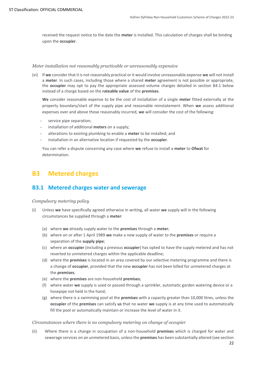received the request notice to the date the **meter** is installed. This calculation of charges shall be binding upon the **occupier**.

#### *Meter installation not reasonably practicable or unreasonably expensive*

(vi) If **we** consider that it is not reasonably practical or it would involve unreasonable expense **we** will not install a **meter**. In such cases, including those where a shared **meter** agreement is not possible or appropriate, the **occupier** may opt to pay the appropriate assessed volume charges detailed in section B4.1 below instead of a charge based on the **rateable value** of the **premises**.

**We** consider reasonable expense to be the cost of installation of a single **meter** fitted externally at the property boundary/start of the supply pipe and reasonable reinstatement. When **we** assess additional expenses over and above those reasonably incurred, **we** will consider the cost of the following:

- service pipe separation;
- installation of additional **meters** on a supply;
- alterations to existing plumbing to enable a meter to be installed; and
- installation in an alternative location if requested by the **occupier**.

You can refer a dispute concerning any case where **we** refuse to install a **meter** to **Ofwat** for determination.

# <span id="page-21-0"></span>**B3 Metered charges**

### <span id="page-21-1"></span>**B3.1 Metered charges water and sewerage**

#### *Compulsory metering policy*

- (i) Unless **we** have specifically agreed otherwise in writing, all water **we** supply will in the following circumstances be supplied through a **meter**:
	- (a) where **we** already supply water to the **premises** through a **meter**;
	- (b) where on or after 1 April 1989 **we** make a new supply of water to the **premises** or require a separation of the **supply pipe**;
	- (c) where an **occupier** (including a previous **occupier**) has opted to have the supply metered and has not reverted to unmetered charges within the applicable deadline;
	- (d) where the **premises** is located in an area covered by our selective metering programme and there is a change of **occupier**, provided that the new **occupier** has not been billed for unmetered charges at the **premises**;
	- (e) where the **premises** are non-household **premises**;
	- (f) where water **we** supply is used or passed through a sprinkler, automatic garden watering device or a hosepipe not held in the hand;
	- (g) where there is a swimming pool at the **premises** with a capacity greater than 10,000 litres, unless the **occupier** of the **premises** can satisfy **us** that no water **we** supply is at any time used to automatically fill the pool or automatically maintain or increase the level of water in it.

#### *Circumstances where there is no compulsory metering on change of occupier*

(ii) Where there is a change in occupation of a non-household **premises** which is charged for water and sewerage services on an unmetered basis, unless the **premises** has been substantially altered (see section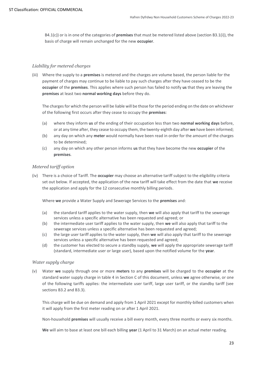B4.1(c)) or is in one of the categories of **premises** that must be metered listed above (section B3.1(i)), the basis of charge will remain unchanged for the new **occupier**.

#### *Liability for metered charges*

(iii) Where the supply to a **premises** is metered and the charges are volume based, the person liable for the payment of charges may continue to be liable to pay such charges after they have ceased to be the **occupier** of the **premises**. This applies where such person has failed to notify **us** that they are leaving the **premises** at least two **normal working days** before they do.

The charges for which the person will be liable will be those for the period ending on the date on whichever of the following first occurs after they cease to occupy the **premises**:

- (a) where they inform **us** of the ending of their occupation less than two **normal working days** before, or at any time after, they cease to occupy them, the twenty-eighth day after **we** have been informed;
- (b) any day on which any **meter** would normally have been read in order for the amount of the charges to be determined;
- (c) any day on which any other person informs **us** that they have become the new **occupier** of the **premises**.

#### *Metered tariff option*

(iv) There is a choice of Tariff. The **occupier** may choose an alternative tariff subject to the eligibility criteria set out below. If accepted, the application of the new tariff will take effect from the date that **we** receive the application and apply for the 12 consecutive monthly billing periods.

Where **we** provide a Water Supply and Sewerage Services to the **premises** and:

- (a) the standard tariff applies to the water supply, then **we** will also apply that tariff to the sewerage services unless a specific alternative has been requested and agreed; or
- (b) the intermediate user tariff applies to the water supply, then **we** will also apply that tariff to the sewerage services unless a specific alternative has been requested and agreed;
- (c) the large user tariff applies to the water supply, then **we** will also apply that tariff to the sewerage services unless a specific alternative has been requested and agreed;
- (d) the customer has elected to secure a standby supply, **we** will apply the appropriate sewerage tariff (standard, intermediate user or large user), based upon the notified volume for the **year**.

#### *Water supply charge*

(v) Water **we** supply through one or more **meters** to any **premises** will be charged to the **occupier** at the standard water supply charge in table 4 in Section C of this document, unless **we** agree otherwise, or one of the following tariffs applies: the intermediate user tariff, large user tariff, or the standby tariff (see sections B3.2 and B3.3).

This charge will be due on demand and apply from 1 April 2021 except for monthly-billed customers when it will apply from the first meter reading on or after 1 April 2021.

Non-household **premises** will usually receive a bill every month, every three months or every six months.

**We** will aim to base at least one bill each billing **year** (1 April to 31 March) on an actual meter reading.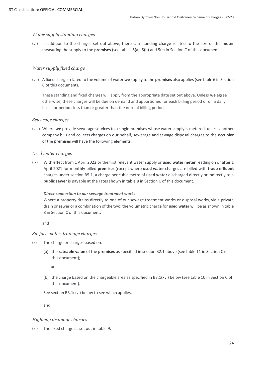#### *Water supply standing charges*

(vi) In addition to the charges set out above, there is a standing charge related to the size of the **meter**  measuring the supply to the **premises** (see tables 5(a), 5(b) and 5(c) in Section C of this document.

#### *Water supply fixed charge*

(vii) A fixed charge related to the volume of water **we** supply to the **premises** also applies (see table 6 in Section C of this document).

These standing and fixed charges will apply from the appropriate date set out above. Unless **we** agree otherwise, these charges will be due on demand and apportioned for each billing period or on a daily basis for periods less than or greater than the normal billing period.

#### *Sewerage charges*

(viii) Where **we** provide sewerage services to a single **premises** whose water supply is metered, unless another company bills and collects charges on **our** behalf, sewerage and sewage disposal charges to the **occupier** of the **premises** will have the following elements:

#### *Used water charges*

(ix) With effect from 1 April 2022 or the first relevant water supply or **used water meter** reading on or after 1 April 2021 for monthly-billed **premises** (except where **used water** charges are billed with **trade effluent** charges under section B5.1, a charge per cubic metre of **used water** discharged directly or indirectly to a **public sewer** is payable at the rates shown in table 8 in Section C of this document.

#### *Direct connection to our sewage treatment works*

Where a property drains directly to one of our sewage treatment works or disposal works, via a private drain or sewer or a combination of the two, the volumetric charge for **used water** will be as shown in table 8 in Section C of this document.

and

#### *Surface water drainage charges*

- (x) The charge or charges based on:
	- (a) the **rateable value** of the **premises** as specified in section B2.1 above (see table 11 in Section C of this document);

or

(b) the charge based on the chargeable area as specified in B3.1(xvi) below (see table 10 in Section C of this document).

See section B3.1(xvi) below to see which applies.

and

#### *Highway drainage charges*

(xi) The fixed charge as set out in table 9.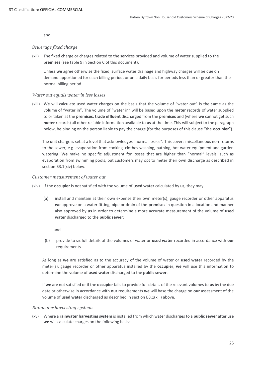and

#### *Sewerage fixed charge*

(xii) The fixed charge or charges related to the services provided and volume of water supplied to the **premises** (see table 9 in Section C of this document).

Unless **we** agree otherwise the fixed, surface water drainage and highway charges will be due on demand apportioned for each billing period, or on a daily basis for periods less than or greater than the normal billing period.

#### *Water out equals water in less losses*

(xiii) **We** will calculate used water charges on the basis that the volume of "water out" is the same as the volume of "water in". The volume of "water in" will be based upon the **meter** records of water supplied to or taken at the **premises**, **trade effluent** discharged from the **premises** and (where **we** cannot get such **meter** records) all other reliable information available to **us** at the time. This will subject to the paragraph below, be binding on the person liable to pay the charge (for the purposes of this clause "the **occupier**").

The unit charge is set at a level that acknowledges "normal losses". This covers miscellaneous non-returns to the sewer, e.g. evaporation from cooking, clothes washing, bathing, hot water equipment and garden watering. **We** make no specific adjustment for losses that are higher than "normal" levels, such as evaporation from swimming pools, but customers may opt to meter their own discharge as described in section B3.1(xiv) below.

#### *Customer measurement of water out*

- (xiv) If the **occupier** is not satisfied with the volume of **used water** calculated by **us,** they may:
	- (a) install and maintain at their own expense their own meter(s), gauge recorder or other apparatus **we** approve on a water fitting, pipe or drain of the **premises** in question in a location and manner also approved by **us** in order to determine a more accurate measurement of the volume of **used water** discharged to the **public sewer**;

and

(b) provide to **us** full details of the volumes of water or **used water** recorded in accordance with **our**  requirements.

As long as **we** are satisfied as to the accuracy of the volume of water or **used water** recorded by the meter(s), gauge recorder or other apparatus installed by the **occupier**, **we** will use this information to determine the volume of **used water** discharged to the **public sewer**.

If **we** are not satisfied or if the **occupier** fails to provide full details of the relevant volumes to **us** by the due date or otherwise in accordance with **our** requirements **we** will base the charge on **our** assessment of the volume of **used water** discharged as described in section B3.1(xiii) above.

#### *Rainwater harvesting systems*

(xv) Where a **rainwater harvesting system** is installed from which water discharges to a **public sewer** after use **we** will calculate charges on the following basis: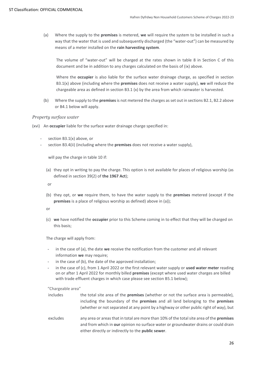(a) Where the supply to the **premises** is metered, **we** will require the system to be installed in such a way that the water that is used and subsequently discharged (the "water-out") can be measured by means of a meter installed on the **rain harvesting system**.

The volume of "water-out" will be charged at the rates shown in table 8 in Section C of this document and be in addition to any charges calculated on the basis of (ix) above.

Where the **occupier** is also liable for the surface water drainage charge, as specified in section B3.1(x) above (including where the **premises** does not receive a water supply), **we** will reduce the chargeable area as defined in section B3.1 (x) by the area from which rainwater is harvested.

(b) Where the supply to the **premises**is not metered the charges as set out in sections B2.1, B2.2 above or B4.1 below will apply.

#### *Property surface water*

- (xvi) An **occupier** liable for the surface water drainage charge specified in:
	- section B3.1(x) above, or
	- section B3.4(ii) (including where the **premises** does not receive a water supply),

will pay the charge in table 10 if:

(a) they opt in writing to pay the charge. This option is not available for places of religious worship (as defined in section 39(2) of **the 1967 Act**);

or

(b) they opt, or **we** require them, to have the water supply to the **premises** metered (except if the **premises** is a place of religious worship as defined) above in (a));

or

(c) **we** have notified the **occupier** prior to this Scheme coming in to effect that they will be charged on this basis;

The charge will apply from:

- in the case of (a), the date **we** receive the notification from the customer and all relevant information **we** may require;
- in the case of (b), the date of the approved installation;
- in the case of (c), from 1 April 2022 or the first relevant water supply or **used water meter** reading on or after 1 April 2022 for monthly billed **premises** (except where used water charges are billed with trade effluent charges in which case please see section B5.1 below);

"Chargeable area"

- includes the total site area of the **premises** (whether or not the surface area is permeable), including the boundary of the **premises** and all land belonging to the **premises** (whether or not separated at any point by a highway or other public right of way), but
- excludes any area or areas that in total are more than 10% of the total site area of the **premises** and from which in **our** opinion no surface water or groundwater drains or could drain either directly or indirectly to the **public sewer**.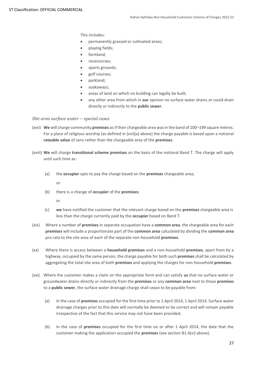This includes:

- permanently grassed or cultivated areas;
- playing fields;
- farmland;
- racecourses;
- sports grounds;
- golf courses;
- parkland;
- soakaways;
- areas of land on which no building can legally be built;
- any other area from which in **our** opinion no surface water drains or could drain directly or indirectly to the **public sewer**.

*Site area surface water – special cases*

- (xvii) **We** will charge community **premises** as if their chargeable area was in the band of 100–199 square metres. For a place of religious worship (as defined in (xvi)(a) above) the charge payable is based upon a notional **rateable value** of zero rather than the chargeable area of the **premises**.
- (xviii) **We** will charge **transitional scheme premises** on the basis of the notional Band T. The charge will apply until such time as:
	- (a) the **occupier** opts to pay the charge based on the **premises** chargeable area;

or

(b) there is a change of **occupier** of the **premises**;

or

- (c) **we** have notified the customer that the relevant charge based on the **premises** chargeable area is less than the charge currently paid by the **occupier** based on Band T.
- (xix) Where a number of **premises** in separate occupation have a **common area**, the chargeable area for each **premises** will include a proportionate part of the **common area** calculated by dividing the **common area** pro rata to the site area of each of the separate non-household **premises**.
- (xx) Where there is access between a **household premises** and a non-household **premises**, apart from by a highway, occupied by the same person, the charge payable for both such **premises** shall be calculated by aggregating the total site area of both **premises** and applying the charges for non-household **premises**.
- (xxi) Where the customer makes a claim on the appropriate form and can satisfy **us** that no surface water or groundwater drains directly or indirectly from the **premises** or any **common area** next to those **premises** to a **public sewer**, the surface water drainage charge shall cease to be payable from:
	- (a) In the case of **premises** occupied for the first time prior to 1 April 2014, 1 April 2014. Surface water drainage charges prior to this date will normally be deemed to be correct and will remain payable irrespective of the fact that this service may not have been provided;
	- (b) In the case of **premises** occupied for the first time on or after 1 April 2014, the date that the customer making the application occupied the **premises** (see section B1.4(vi) above).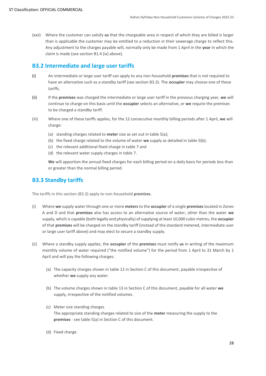(xxii) Where the customer can satisfy **us** that the chargeable area in respect of which they are billed is larger than is applicable the customer may be entitled to a reduction in their sewerage charge to reflect this. Any adjustment to the charges payable will, normally only be made from 1 April in the **year** in which the claim is made (see section B1.4 (ix) above).

### <span id="page-27-0"></span>**B3.2 Intermediate and large user tariffs**

- (i) An intermediate or large user tariff can apply to any non-household **premises** that is not required to have an alternative such as a standby tariff (see section B3.3). The **occupier** may choose one of these tariffs.
- (ii) If the **premises** was charged the intermediate or large user tariff in the previous charging year, **we** will continue to charge on this basis until the **occupier** selects an alternative, or **we** require the premises to be charged a standby tariff.
- (iii) Where one of these tariffs applies, for the 12 consecutive monthly billing periods after 1 April, **we** will charge:
	- (a) standing charges related to **meter** size as set out in table 5(a);
	- (b) the fixed charge related to the volume of water **we** supply as detailed in table 5(b);
	- (c) the relevant additional fixed charge in table 7 and
	- (d) the relevant water supply charges in table 7.

**We** will apportion the annual fixed charges for each billing period on a daily basis for periods less than or greater than the normal billing period.

#### <span id="page-27-1"></span>**B3.3 Standby tariffs**

The tariffs in this section (B3.3) apply to non-household **premises**.

- (i) Where **we** supply water through one or more **meters** to the **occupier** of a single **premises** located in Zones A and D and that **premises** also has access to an alternative source of water, other than the water **we**  supply, which is capable (both legally and physically) of supplying at least 10,000 cubic metres, the **occupier** of that **premises** will be charged on the standby tariff (instead of the standard metered, intermediate user or large user tariff above) and may elect to secure a standby supply.
- (ii) Where a standby supply applies, the **occupier** of the **premises** must notify **us** in writing of the maximum monthly volume of water required ("the notified volume") for the period from 1 April to 31 March by 1 April and will pay the following charges:
	- (a) The capacity charges shown in table 12 in Section C of this document, payable irrespective of whether **we** supply any water.
	- (b) The volume charges shown in table 13 in Section C of this document, payable for all water **we** supply, irrespective of the notified volumes.
	- (c) Meter size standing charges The appropriate standing charges related to size of the **meter** measuring the supply to the **premises** - see table 5(a) in Section C of this document.
	- (d) Fixed charge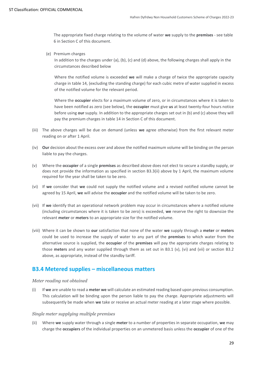The appropriate fixed charge relating to the volume of water **we** supply to the **premises** - see table 6 in Section C of this document.

(e) Premium charges

In addition to the charges under (a), (b), (c) and (d) above, the following charges shall apply in the circumstances described below

Where the notified volume is exceeded **we** will make a charge of twice the appropriate capacity charge in table 14, (excluding the standing charge) for each cubic metre of water supplied in excess of the notified volume for the relevant period.

Where the **occupier** elects for a maximum volume of zero, or in circumstances where it is taken to have been notified as zero (see below), the **occupier** must give **us** at least twenty-four hours notice before using **our** supply. In addition to the appropriate charges set out in (b) and (c) above they will pay the premium charges in table 14 in Section C of this document.

- (iii) The above charges will be due on demand (unless **we** agree otherwise) from the first relevant meter reading on or after 1 April.
- (iv) **Our** decision about the excess over and above the notified maximum volume will be binding on the person liable to pay the charges.
- (v) Where the **occupier** of a single **premises** as described above does not elect to secure a standby supply, or does not provide the information as specified in section B3.3(ii) above by 1 April, the maximum volume required for the year shall be taken to be zero.
- (vi) If **we** consider that **we** could not supply the notified volume and a revised notified volume cannot be agreed by 15 April, **we** will advise the **occupier** and the notified volume will be taken to be zero.
- (vii) If **we** identify that an operational network problem may occur in circumstances where a notified volume (including circumstances where it is taken to be zero) is exceeded, **we** reserve the right to downsize the relevant **meter** or **meters** to an appropriate size for the notified volume.
- (viii) Where it can be shown to **our** satisfaction that none of the water **we** supply through a **meter** or **meters**  could be used to increase the supply of water to any part of the **premises** to which water from the alternative source is supplied, the **occupier** of the **premises** will pay the appropriate charges relating to those **meters** and any water supplied through them as set out in B3.1 (v), (vi) and (vii) or section B3.2 above, as appropriate, instead of the standby tariff.

#### <span id="page-28-0"></span>**B3.4 Metered supplies – miscellaneous matters**

#### *Meter reading not obtained*

(i) If **we** are unable to read a **meter we** will calculate an estimated reading based upon previous consumption. This calculation will be binding upon the person liable to pay the charge. Appropriate adjustments will subsequently be made when **we** take or receive an actual meter reading at a later stage where possible.

#### *Single meter supplying multiple premises*

(ii) Where **we** supply water through a single **meter** to a number of properties in separate occupation, **we** may charge the **occupiers** of the individual properties on an unmetered basis unless the **occupier** of one of the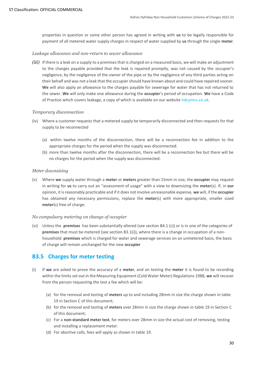properties in question or some other person has agreed in writing with **us** to be legally responsible for payment of all metered water supply charges in respect of water supplied by **us** through the single **meter**.

#### *Leakage allowance and non-return to sewer allowance*

*(iii)* If there is a leak on a supply to a premises that is charged on a measured basis, we will make an adjustment to the charges payable provided that the leak is repaired promptly, was not caused by the occupier's negligence, by the negligence of the owner of the pipe or by the negligence of any third parties acting on their behalf and was not a leak that the occupiershould have known about and could have repaired sooner. **We** will also apply an allowance to the charges payable for sewerage for water that has not returned to the sewer. **We** will only make one allowance during the **occupier**'s period of occupation. **We** have a Code of Practice which covers leakage, a copy of which is available on our websit[e hdcymru.co.uk.](http://www.hdcymru.co.uk/)

#### *Temporary disconnection*

- (iv) Where a customer requests that a metered supply be temporarily disconnected and then requests for that supply to be reconnected
	- (a) within twelve months of the disconnection, there will be a reconnection fee in addition to the appropriate charges for the period when the supply was disconnected.
	- (b) more than twelve months after the disconnection, there will be a reconnection fee but there will be no charges for the period when the supply was disconnected.

#### *Meter downsizing*

(v) Where **we** supply water through a **meter** or **meters** greater than 15mm in size, the **occupier** may request in writing for **us** to carry out an "assessment of usage" with a view to downsizing the **meter**(s). If, in **our**  opinion, it is reasonably practicable and if it does not involve unreasonable expense, **we** will, if the **occupier** has obtained any necessary permissions, replace the **meter**(s) with more appropriate, smaller sized **meter**(s) free of charge.

#### *No compulsory metering on change of occupier*

(vi) Unless the **premises** has been substantially altered (see section B4.1 (c)) or is in one of the categories of **premises** that must be metered (see section B3.1(i)), where there is a change in occupation of a nonhousehold **premises** which is charged for water and sewerage services on an unmetered basis, the basis of charge will remain unchanged for the new **occupier**

#### <span id="page-29-0"></span>**B3.5 Charges for meter testing**

- (i) If **we** are asked to prove the accuracy of a **meter**, and on testing the **meter** it is found to be recording within the limits set out in the Measuring Equipment (Cold Water Meter) Regulations 1988, **we** will recover from the person requesting the test a fee which will be:
	- (a) for the removal and testing of **meters** up to and including 28mm in size the charge shown in table 19 in Section C of this document;
	- (b) for the removal and testing of **meters** over 28mm in size the charge shown in table 19 in Section C of this document;
	- (c) For a **non-standard meter test**, for meters over 28mm in size the actual cost of removing, testing and installing a replacement meter.
	- (d) For abortive calls, fees will apply as shown in table 19.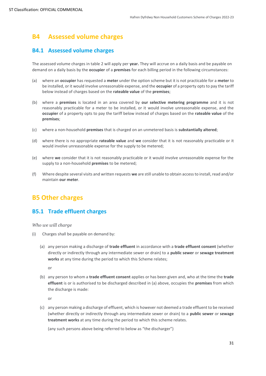# <span id="page-30-0"></span>**B4 Assessed volume charges**

### <span id="page-30-1"></span>**B4.1 Assessed volume charges**

The assessed volume charges in table 2 will apply per **year.** They will accrue on a daily basis and be payable on demand on a daily basis by the **occupier** of a **premises** for each billing period in the following circumstances:

- (a) where an **occupier** has requested a **meter** under the option scheme but it is not practicable for a **meter** to be installed, or it would involve unreasonable expense, and the **occupier** of a property opts to pay the tariff below instead of charges based on the **rateable value** of the **premises**;
- (b) where a **premises** is located in an area covered by **our selective metering programme** and it is not reasonably practicable for a meter to be installed, or it would involve unreasonable expense, and the **occupier** of a property opts to pay the tariff below instead of charges based on the **rateable value** of the **premises**;
- (c) where a non-household **premises** that is charged on an unmetered basis is **substantially altered**;
- (d) where there is no appropriate **rateable value** and **we** consider that it is not reasonably practicable or it would involve unreasonable expense for the supply to be metered;
- (e) where **we** consider that it is not reasonably practicable or it would involve unreasonable expense for the supply to a non-household **premises** to be metered;
- (f) Where despite several visits and written requests **we** are still unable to obtain access to install, read and/or maintain **our meter**.

# <span id="page-30-2"></span>**B5 Other charges**

#### <span id="page-30-3"></span>**B5.1 Trade effluent charges**

#### *Who we will charge*

- (i) Charges shall be payable on demand by:
	- (a) any person making a discharge of **trade effluent** in accordance with a **trade effluent consent** (whether directly or indirectly through any intermediate sewer or drain) to a **public sewer** or **sewage treatment works** at any time during the period to which this Scheme relates;

or

(b) any person to whom a **trade effluent consent** applies or has been given and, who at the time the **trade effluent** is or is authorised to be discharged described in (a) above, occupies the **premises** from which the discharge is made:

or

(c) any person making a discharge of effluent, which is however not deemed a trade effluent to be received (whether directly or indirectly through any intermediate sewer or drain) to a **public sewer** or **sewage treatment works** at any time during the period to which this scheme relates.

(any such persons above being referred to below as "the discharger")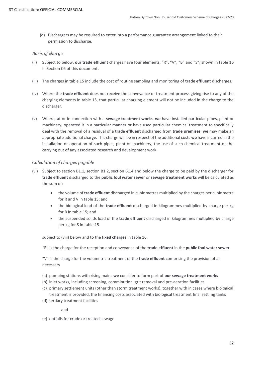(d) Dischargers may be required to enter into a performance guarantee arrangement linked to their permission to discharge.

#### *Basis of charge*

- (ii) Subject to below, **our trade effluent** charges have four elements, "R", "V", "B" and "S", shown in table 15 in Section C6 of this document.
- (iii) The charges in table 15 include the cost of routine sampling and monitoring of **trade effluent** discharges.
- (iv) Where the **trade effluent** does not receive the conveyance or treatment process giving rise to any of the charging elements in table 15, that particular charging element will not be included in the charge to the discharger.
- (v) Where, at or in connection with a **sewage treatment works**, **we** have installed particular pipes, plant or machinery, operated it in a particular manner or have used particular chemical treatment to specifically deal with the removal of a residual of a **trade effluent** discharged from **trade premises**, **we** may make an appropriate additional charge. This charge will be in respect of the additional costs **we** have incurred in the installation or operation of such pipes, plant or machinery, the use of such chemical treatment or the carrying out of any associated research and development work.

#### *Calculation of charges payable*

- (vi) Subject to section B1.1, section B1.2, section B1.4 and below the charge to be paid by the discharger for **trade effluent** discharged to the **public foul water sewer** or **sewage treatment works** will be calculated as the sum of:
	- the volume of **trade effluent** discharged in cubic metres multiplied by the charges per cubic metre for R and V in table 15; and
	- the biological load of the **trade effluent** discharged in kilogrammes multiplied by charge per kg for B in table 15; and
	- the suspended solids load of the **trade effluent** discharged in kilogrammes multiplied by charge per kg for S in table 15.

subject to (viii) below and to the **fixed charges** in table 16.

"R" is the charge for the reception and conveyance of the **trade effluent** in the **public foul water sewer**

"V" is the charge for the volumetric treatment of the **trade effluent** comprising the provision of all necessary

- (a) pumping stations with rising mains **we** consider to form part of **our sewage treatment works**
- (b) inlet works, including screening, comminution, grit removal and pre-aeration facilities
- (c) primary settlement units (other than storm treatment works), together with in cases where biological treatment is provided, the financing costs associated with biological treatment final settling tanks
- (d) tertiary treatment facilities

and

(e) outfalls for crude or treated sewage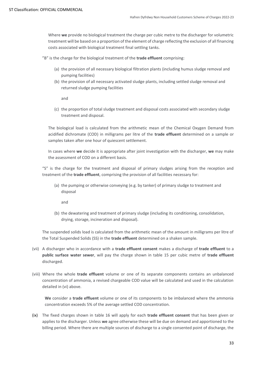Where **we** provide no biological treatment the charge per cubic metre to the discharger for volumetric treatment will be based on a proportion of the element of charge reflecting the exclusion of all financing costs associated with biological treatment final settling tanks.

"B" is the charge for the biological treatment of the **trade effluent** comprising:

- (a) the provision of all necessary biological filtration plants (including humus sludge removal and pumping facilities)
- (b) the provision of all necessary activated sludge plants, including settled sludge removal and returned sludge pumping facilities

and

(c) the proportion of total sludge treatment and disposal costs associated with secondary sludge treatment and disposal.

The biological load is calculated from the arithmetic mean of the Chemical Oxygen Demand from acidified dichromate (COD) in milligrams per litre of the **trade effluent** determined on a sample or samples taken after one hour of quiescent settlement.

In cases where **we** decide it is appropriate after joint investigation with the discharger, **we** may make the assessment of COD on a different basis.

"S" is the charge for the treatment and disposal of primary sludges arising from the reception and treatment of the **trade effluent**, comprising the provision of all facilities necessary for:

(a) the pumping or otherwise conveying (e.g. by tanker) of primary sludge to treatment and disposal

and

(b) the dewatering and treatment of primary sludge (including its conditioning, consolidation, drying, storage, incineration and disposal).

The suspended solids load is calculated from the arithmetic mean of the amount in milligrams per litre of the Total Suspended Solids (SS) in the **trade effluent** determined on a shaken sample.

- (vii) A discharger who in accordance with a **trade effluent consent** makes a discharge of **trade effluent** to a **public surface water sewer**, will pay the charge shown in table 15 per cubic metre of **trade effluent** discharged.
- (viii) Where the whole **trade effluent** volume or one of its separate components contains an unbalanced concentration of ammonia, a revised chargeable COD value will be calculated and used in the calculation detailed in (vi) above.

**We** consider a **trade effluent** volume or one of its components to be imbalanced where the ammonia concentration exceeds 5% of the average settled COD concentration.

(ix) The fixed charges shown in table 16 will apply for each **trade effluent consent** that has been given or applies to the discharger. Unless **we** agree otherwise these will be due on demand and apportioned to the billing period. Where there are multiple sources of discharge to a single consented point of discharge, the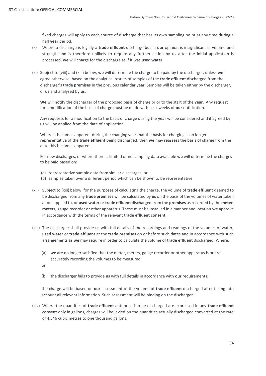fixed charges will apply to each source of discharge that has its own sampling point at any time during a half **year** period.

- (x) Where a discharge is legally a **trade effluent** discharge but in **our** opinion is insignificant in volume and strength and is therefore unlikely to require any further action by **us** after the initial application is processed, **we** will charge for the discharge as if it was **used water**.
- (xi) Subject to (viii) and (xiii) below, **we** will determine the charge to be paid by the discharger, unless **we**  agree otherwise, based on the analytical results of samples of the **trade effluent** discharged from the discharger's **trade premises** in the previous calendar year. Samples will be taken either by the discharger, or **us** and analysed by **us**.

**We** will notify the discharger of the proposed basis of charge prior to the start of the **year**. Any request for a modification of the basis of charge must be made within six weeks of **our** notification.

Any requests for a modification to the basis of charge during the **year** will be considered and if agreed by **us** will be applied from the date of application.

Where it becomes apparent during the charging year that the basis for charging is no longer representative of the **trade effluent** being discharged, then **we** may reassess the basis of charge from the date this becomes apparent.

For new discharges, or where there is limited or no sampling data available **we** will determine the charges to be paid based on:

- (a) representative sample data from similar discharges; or
- (b) samples taken over a different period which can be shown to be representative.
- (xii) Subject to (xiii) below, for the purposes of calculating the charge, the volume of **trade effluent** deemed to be discharged from any **trade premises** will be calculated by **us** on the basis of the volumes of water taken at or supplied to, or **used water** or **trade effluent** discharged from the **premises** as recorded by the **meter**, **meters,** gauge recorder or other apparatus. These must be installed in a manner and location **we** approve in accordance with the terms of the relevant **trade effluent consent**.
- (xiii) The discharger shall provide **us** with full details of the recordings and readings of the volumes of water, **used water** or **trade effluent** at the **trade premises** on or before such dates and in accordance with such arrangements as **we** may require in order to calculate the volume of **trade effluent** discharged. Where:
	- (a) **we** are no longer satisfied that the meter, meters, gauge recorder or other apparatus is or are accurately recording the volumes to be measured;
	- or
	- (b) the discharger fails to provide **us** with full details in accordance with **our** requirements;

the charge will be based on **our** assessment of the volume of **trade effluent** discharged after taking into account all relevant information. Such assessment will be binding on the discharger.

(xiv) Where the quantities of **trade effluent** authorised to be discharged are expressed in any **trade effluent consent** only in gallons, charges will be levied on the quantities actually discharged converted at the rate of 4.546 cubic metres to one thousand gallons.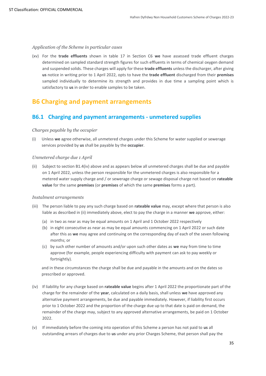#### *Application of the Scheme in particular cases*

(xv) For the **trade effluents** shown in table 17 in Section C6 **we** have assessed trade effluent charges determined on sampled standard strength figures for such effluents in terms of chemical oxygen demand and suspended solids. These charges will apply for these **trade effluents** unless the discharger, after giving **us** notice in writing prior to 1 April 2022, opts to have the **trade effluent** discharged from their **premises** sampled individually to determine its strength and provides in due time a sampling point which is satisfactory to **us** in order to enable samples to be taken.

# <span id="page-34-0"></span>**B6 Charging and payment arrangements**

# **B6.1 Charging and payment arrangements - unmetered supplies**

#### *Charges payable by the occupier*

(i) Unless **we** agree otherwise, all unmetered charges under this Scheme for water supplied or sewerage services provided by **us** shall be payable by the **occupier**.

#### *Unmetered charge due 1 April*

(ii) Subject to section B1.4(iv) above and as appears below all unmetered charges shall be due and payable on 1 April 2022, unless the person responsible for the unmetered charges is also responsible for a metered water supply charge and / or sewerage charge or sewage disposal charge not based on **rateable value** for the same **premises** (or **premises** of which the same **premises** forms a part).

#### *Instalment arrangements*

- (iii) The person liable to pay any such charge based on **rateable value** may, except where that person is also liable as described in (ii) immediately above, elect to pay the charge in a manner **we** approve, either:
	- (a) in two as near as may be equal amounts on 1 April and 1 October 2022 respectively
	- (b) in eight consecutive as near as may be equal amounts commencing on 1 April 2022 or such date after this as **we** may agree and continuing on the corresponding day of each of the seven following months; or
	- (c) by such other number of amounts and/or upon such other dates as **we** may from time to time approve (for example, people experiencing difficulty with payment can ask to pay weekly or fortnightly).

and in these circumstances the charge shall be due and payable in the amounts and on the dates so prescribed or approved.

- (iv) If liability for any charge based on **rateable value** begins after 1 April 2022 the proportionate part of the charge for the remainder of the **year**, calculated on a daily basis, shall unless **we** have approved any alternative payment arrangements, be due and payable immediately. However, if liability first occurs prior to 1 October 2022 and the proportion of the charge due up to that date is paid on demand, the remainder of the charge may, subject to any approved alternative arrangements, be paid on 1 October 2022.
- (v) If immediately before the coming into operation of this Scheme a person has not paid to **us** all outstanding arrears of charges due to **us** under any prior Charges Scheme, that person shall pay the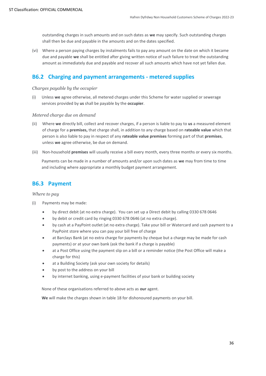outstanding charges in such amounts and on such dates as **we** may specify. Such outstanding charges shall then be due and payable in the amounts and on the dates specified.

(vi) Where a person paying charges by instalments fails to pay any amount on the date on which it became due and payable **we** shall be entitled after giving written notice of such failure to treat the outstanding amount as immediately due and payable and recover all such amounts which have not yet fallen due.

#### **B6.2 Charging and payment arrangements - metered supplies**

#### *Charges payable by the occupier*

(i) Unless **we** agree otherwise, all metered charges under this Scheme for water supplied or sewerage services provided by **us** shall be payable by the **occupier**.

#### *Metered charge due on demand*

- (ii) Where **we** directly bill, collect and recover charges, if a person is liable to pay to **us** a measured element of charge for a **premises,** that charge shall, in addition to any charge based on **rateable value** which that person is also liable to pay in respect of any **rateable value premises** forming part of that **premises**, unless **we** agree otherwise, be due on demand.
- (iii) Non-household **premises** will usually receive a bill every month, every three months or every six months.

Payments can be made in a number of amounts and/or upon such dates as **we** may from time to time and including where appropriate a monthly budget payment arrangement.

#### **B6.3 Payment**

#### *Where to pay*

- (i) Payments may be made:
	- by direct debit (at no extra charge). You can set up a Direct debit by calling 0330 678 0646
	- by debit or credit card by ringing 0330 678 0646 (at no extra charge).
	- by cash at a PayPoint outlet (at no extra charge). Take your bill or Watercard and cash payment to a PayPoint store where you can pay your bill free of charge
	- at Barclays Bank (at no extra charge for payments by cheque but a charge may be made for cash payments) or at your own bank (ask the bank if a charge is payable)
	- at a Post Office using the payment slip on a bill or a reminder notice (the Post Office will make a charge for this)
	- at a Building Society (ask your own society for details)
	- by post to the address on your bill
	- by internet banking, using e-payment facilities of your bank or building society

None of these organisations referred to above acts as **our** agent.

**We** will make the charges shown in table 18 for dishonoured payments on your bill.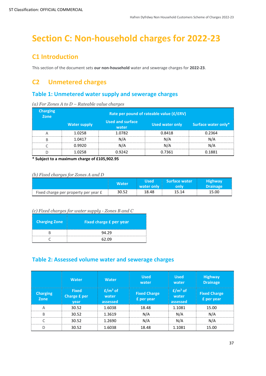# <span id="page-36-0"></span>**Section C: Non-household charges for 2022-23**

# <span id="page-36-1"></span>**C1 Introduction**

This section of the document sets **our non-household** water and sewerage charges for **2022-23**.

# <span id="page-36-2"></span>**C2 Unmetered charges**

# **Table 1: Unmetered water supply and sewerage charges**

| <b>Charging</b><br><b>Zone</b> | Rate per pound of rateable value (£/£RV) |                                  |                 |                     |
|--------------------------------|------------------------------------------|----------------------------------|-----------------|---------------------|
|                                | <b>Water supply</b>                      | <b>Used and surface</b><br>water | Used water only | Surface water only* |
| А                              | 1.0258                                   | 1.0782                           | 0.8418          | 0.2364              |
| R                              | 1.0417                                   | N/A                              | N/A             | N/A                 |
|                                | 0.9920                                   | N/A                              | N/A             | N/A                 |
|                                | 1.0258                                   | 0.9242                           | 0.7361          | 0.1881              |

**\* Subject to a maximum charge of £105,902.95**

#### *(b) Fixed charges for Zones A and D*

|                                      | <b>Water</b> | <b>Used</b><br>water only | <b>Surface water</b><br>only | <b>Highway</b><br><b>Drainage</b> |
|--------------------------------------|--------------|---------------------------|------------------------------|-----------------------------------|
| Fixed charge per property per year £ | 30.52        | 18.48                     | 15.14                        | 15.00                             |

#### *(c) Fixed charges for water supply - Zones B and C*

| <b>Charging Zone</b> | <b>Fixed charge £ per year</b> |  |
|----------------------|--------------------------------|--|
|                      | 94.29                          |  |
|                      | 62 09                          |  |

# **Table 2: Assessed volume water and sewerage charges**

|                         | <b>Water</b>                         | <b>Water</b>                    | <b>Used</b><br>water              | <b>Used</b><br>water            | <b>Highway</b><br><b>Drainage</b> |
|-------------------------|--------------------------------------|---------------------------------|-----------------------------------|---------------------------------|-----------------------------------|
| <b>Charging</b><br>Zone | <b>Fixed</b><br>Charge £ per<br>vear | $E/m^3$ of<br>water<br>assessed | <b>Fixed Charge</b><br>£ per year | $E/m^3$ of<br>water<br>assessed | <b>Fixed Charge</b><br>£ per year |
| Α                       | 30.52                                | 1.6038                          | 18.48                             | 1.1081                          | 15.00                             |
| B                       | 30.52                                | 1.3619                          | N/A                               | N/A                             | N/A                               |
| $\sqrt{2}$              | 30.52                                | 1.2690                          | N/A                               | N/A                             | N/A                               |
| D                       | 30.52                                | 1.6038                          | 18.48                             | 1.1081                          | 15.00                             |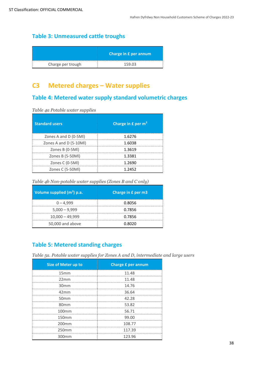# **Table 3: Unmeasured cattle troughs**

|                   | Charge in £ per annum |
|-------------------|-----------------------|
| Charge per trough | 75903                 |

# <span id="page-37-0"></span>**C3 Metered charges – Water supplies**

# **Table 4: Metered water supply standard volumetric charges**

*Table 4a Potable water supplies* 

| <b>Standard users</b>  | Charge in £ per m <sup>3</sup> |
|------------------------|--------------------------------|
| Zones A and D (0-5MI)  | 1.6276                         |
| Zones A and D (5-10Ml) | 1.6038                         |
| Zones B (0-5MI)        | 1.3619                         |
| Zones B (5-50Ml)       | 1.3381                         |
| Zones C (0-5MI)        | 1.2690                         |
| Zones C (5-50Ml)       | 1 2452                         |

*Table 4b Non-potable water supplies (Zones B and C only)*

| Volume supplied $(m^3)$ p.a. | Charge in £ per m3 |
|------------------------------|--------------------|
| $0 - 4.999$                  | 0.8056             |
| $5,000 - 9,999$              | 0.7856             |
| $10,000 - 49,999$            | 0.7856             |
| 50,000 and above             | 0.8020             |

# **Table 5: Metered standing charges**

*Table 5a. Potable water supplies for Zones A and D, intermediate and large users*

| <b>Size of Meter up to</b> | <b>Charge £ per annum</b> |
|----------------------------|---------------------------|
| 15mm                       | 11.48                     |
| 22mm                       | 11.48                     |
| 30 <sub>mm</sub>           | 14.76                     |
| 42mm                       | 36.64                     |
| 50 <sub>mm</sub>           | 42.28                     |
| 80 <sub>mm</sub>           | 53.82                     |
| 100 <sub>mm</sub>          | 56.71                     |
| 150mm                      | 99.00                     |
| 200 <sub>mm</sub>          | 108.77                    |
| 250mm                      | 117.39                    |
| 300mm                      | 123.96                    |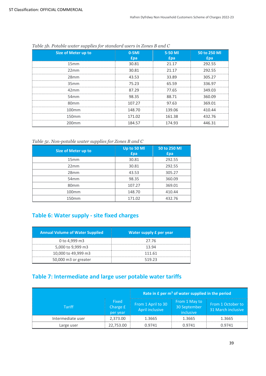| <b>Size of Meter up to</b> | $0-5$ MI<br><b>£pa</b> | 5-50 MI<br><b>f</b> pa | 50 to 250 MI<br><b>f</b> pa |
|----------------------------|------------------------|------------------------|-----------------------------|
| 15mm                       | 30.81                  | 21.17                  | 292.55                      |
| 22mm                       | 30.81                  | 21.17                  | 292.55                      |
| 28mm                       | 43.53                  | 33.89                  | 305.27                      |
| 35mm                       | 75.23                  | 65.59                  | 336.97                      |
| 42mm                       | 87.29                  | 77.65                  | 349.03                      |
| 54 <sub>mm</sub>           | 98.35                  | 88.71                  | 360.09                      |
| 80 <sub>mm</sub>           | 107.27                 | 97.63                  | 369.01                      |
| $100$ mm                   | 148.70                 | 139.06                 | 410.44                      |
| 150 <sub>mm</sub>          | 171.02                 | 161.38                 | 432.76                      |
| 200 <sub>mm</sub>          | 184.57                 | 174.93                 | 446.31                      |

#### *Table 5b. Potable water supplies for standard users in Zones B and C*

*Table 5c. Non-potable water supplies for Zones B and C*

| Size of Meter up to | Up to 50 Ml<br>£pa | 50 to 250 MI<br><b>£pa</b> |
|---------------------|--------------------|----------------------------|
| 15mm                | 30.81              | 292.55                     |
| 22mm                | 30.81              | 292.55                     |
| 28mm                | 43.53              | 305.27                     |
| 54mm                | 98.35              | 360.09                     |
| 80 <sub>mm</sub>    | 107.27             | 369.01                     |
| 100mm               | 148.70             | 10 AA                      |
| 150 <sub>mm</sub>   | 171.02             | 432.76                     |

# **Table 6: Water supply - site fixed charges**

| <b>Annual Volume of Water Supplied</b> | Water supply £ per year |
|----------------------------------------|-------------------------|
| 0 to 4,999 m3                          | 27 76                   |
| 5,000 to 9,999 m3                      | 13 94                   |
| 10,000 to 49,999 m3                    | 111 61                  |
| 50,000 m3 or greater                   | 519 23                  |

# **Table 7: Intermediate and large user potable water tariffs**

|                   |                               | Rate in £ per m <sup>3</sup> of water supplied in the period |                                            |                                         |
|-------------------|-------------------------------|--------------------------------------------------------------|--------------------------------------------|-----------------------------------------|
| <b>Tariff</b>     | Fixed<br>Charge £<br>per year | From 1 April to 30<br>April inclusive                        | From 1 May to<br>30 September<br>inclusive | From 1 October to<br>31 March inclusive |
| Intermediate user | 2,373.00                      | 1.3665                                                       | 1.3665                                     | 1.3665                                  |
| Large user        | 22,753.00                     | 0.9741                                                       | 0.9741                                     | 0.9741                                  |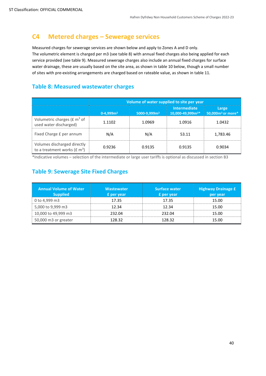# <span id="page-39-0"></span>**C4 Metered charges – Sewerage services**

Measured charges for sewerage services are shown below and apply to Zones A and D only. The volumetric element is charged per m3 (see table 8) with annual fixed charges also being applied for each service provided (see table 9). Measured sewerage charges also include an annual fixed charges for surface water drainage, these are usually based on the site area, as shown in table 10 below, though a small number of sites with pre-existing arrangements are charged based on rateable value, as shown in table 11.

# **Table 8: Measured wastewater charges**

|                                                                                   | Volume of water supplied to site per year |                          |                                                     |                                        |  |
|-----------------------------------------------------------------------------------|-------------------------------------------|--------------------------|-----------------------------------------------------|----------------------------------------|--|
|                                                                                   | $0-4,999m3$                               | 5000-9,999m <sup>3</sup> | <b>Intermediate</b><br>10,000-49,999m <sup>3*</sup> | Large<br>50,000m <sup>3</sup> or more* |  |
| Volumetric charges ( $E m3$ of<br>used water discharged)                          | 1.1102                                    | 1.0969                   | 1.0916                                              | 1.0432                                 |  |
| Fixed Charge £ per annum                                                          | N/A                                       | N/A                      | 53.11                                               | 1,783.46                               |  |
| Volumes discharged directly<br>to a treatment works ( $\text{£}$ m <sup>3</sup> ) | 0.9236                                    | 0.9135                   | 0.9135                                              | 0.9034                                 |  |

\*Indicative volumes – selection of the intermediate or large user tariffs is optional as discussed in section B3

# **Table 9: Sewerage Site Fixed Charges**

| <b>Annual Volume of Water</b><br><b>Supplied</b> | <b>Wastewater</b><br><b>£</b> per year | <b>Surface water</b><br><b>£</b> per year | <b>Highway Drainage £</b><br>per year |
|--------------------------------------------------|----------------------------------------|-------------------------------------------|---------------------------------------|
| 0 to 4,999 m3                                    | 17.35                                  | 17.35                                     | 15.00                                 |
| 5,000 to 9,999 m3                                | 12.34                                  | 12.34                                     | 15.00                                 |
| 10,000 to 49,999 m3                              | 232.04                                 | 232.04                                    | 15.00                                 |
| 50,000 m3 or greater                             | 128.32                                 | 128.32                                    | 15.00                                 |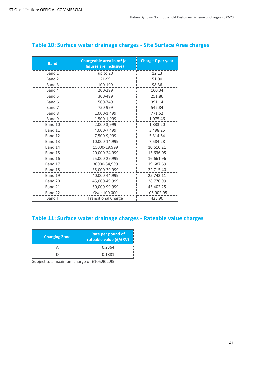| <b>Band</b> | Chargeable area in m <sup>2</sup> (all<br>figures are inclusive) | Charge £ per year |
|-------------|------------------------------------------------------------------|-------------------|
| Band 1      | up to 20                                                         | 12.13             |
| Band 2      | 21-99                                                            | 51.00             |
| Band 3      | 100-199                                                          | 98.36             |
| Band 4      | 200-299                                                          | 160.34            |
| Band 5      | 300-499                                                          | 251.86            |
| Band 6      | 500-749                                                          | 391.14            |
| Band 7      | 750-999                                                          | 542.84            |
| Band 8      | 1,000-1,499                                                      | 771.52            |
| Band 9      | 1,500-1,999                                                      | 1,075.46          |
| Band 10     | 2,000-3,999                                                      | 1,833.20          |
| Band 11     | 4,000-7,499                                                      | 3,498.25          |
| Band 12     | 7,500-9,999                                                      | 5,314.64          |
| Band 13     | 10,000-14,999                                                    | 7,584.28          |
| Band 14     | 15000-19,999                                                     | 10,610.21         |
| Band 15     | 20,000-24,999                                                    | 13,636.05         |
| Band 16     | 25,000-29,999                                                    | 16,661.96         |
| Band 17     | 30000-34,999                                                     | 19,687.69         |
| Band 18     | 35,000-39,999                                                    | 22,715.40         |
| Band 19     | 40,000-44,999                                                    | 25,743.11         |
| Band 20     | 45,000-49,999                                                    | 28,770.99         |
| Band 21     | 50,000-99,999                                                    | 45,402.25         |
| Band 22     | Over 100,000                                                     | 105,902.95        |
| Band T      | <b>Transitional Charge</b>                                       | 428.90            |

# **Table 10: Surface water drainage charges - Site Surface Area charges**

# **Table 11: Surface water drainage charges - Rateable value charges**

| <b>Charging Zone</b> | Rate per pound of<br>rateable value (£/£RV) |
|----------------------|---------------------------------------------|
|                      | 0.2364                                      |
|                      | 0.1881                                      |

Subject to a maximum charge of £105,902.95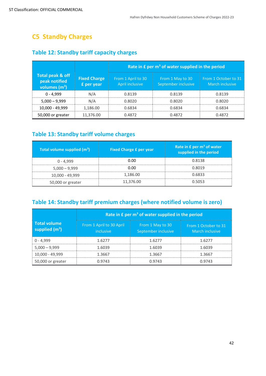# <span id="page-41-0"></span>**C5 Standby Charges**

|                                                      |                                   | Rate in $E$ per $m3$ of water supplied in the period |                                         |                                         |  |
|------------------------------------------------------|-----------------------------------|------------------------------------------------------|-----------------------------------------|-----------------------------------------|--|
| Total peak & off<br>peak notified<br>volumes $(m^3)$ | <b>Fixed Charge</b><br>£ per year | From 1 April to 30<br>April inclusive                | From 1 May to 30<br>September inclusive | From 1 October to 31<br>March inclusive |  |
| $0 - 4.999$                                          | N/A                               | 0.8139                                               | 0.8139                                  | 0.8139                                  |  |
| $5,000 - 9,999$                                      | N/A                               | 0.8020                                               | 0.8020                                  | 0.8020                                  |  |
| 10,000 - 49,999                                      | 1.186.00                          | 0.6834                                               | 0.6834                                  | 0.6834                                  |  |
| 50,000 or greater                                    | 11,376.00                         | 0.4872                                               | 0.4872                                  | 0.4872                                  |  |

# **Table 12: Standby tariff capacity charges**

# **Table 13: Standby tariff volume charges**

| Total volume supplied $(m^3)$ | <b>Fixed Charge £ per year</b> | Rate in $E$ per $m3$ of water<br>supplied in the period |
|-------------------------------|--------------------------------|---------------------------------------------------------|
| $0 - 4.999$                   | 0.00                           | 0.8138                                                  |
| $5.000 - 9.999$               | 0.00                           | 0.8019                                                  |
| 10,000 - 49,999               | 1.186.00                       | 0.6833                                                  |
| 50,000 or greater             | 11,376.00                      | 0.5053                                                  |

# **Table 14: Standby tariff premium charges (where notified volume is zero)**

|                                         |                                              | Rate in £ per m <sup>3</sup> of water supplied in the period |                                         |
|-----------------------------------------|----------------------------------------------|--------------------------------------------------------------|-----------------------------------------|
| <b>Total volume</b><br>supplied $(m^3)$ | From 1 April to 30 April<br><i>inclusive</i> | From 1 May to 30<br>September inclusive                      | From 1 October to 31<br>March inclusive |
| $0 - 4,999$                             | 1.6277                                       | 1.6277                                                       | 1.6277                                  |
| $5,000 - 9,999$                         | 1.6039                                       | 1.6039                                                       | 1.6039                                  |
| 10,000 - 49,999                         | 13667                                        | 1.3667                                                       | 13667                                   |
| 50,000 or greater                       | 0.9743                                       | 0.9743                                                       | 0.9743                                  |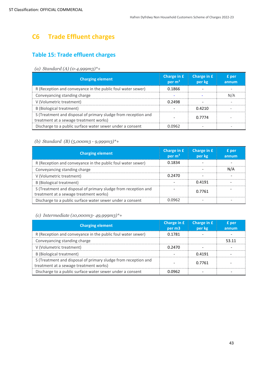# <span id="page-42-0"></span>**C6 Trade Effluent charges**

# **Table 15: Trade effluent charges**

#### *(a) Standard (A) (0-4,999m3)\*+*

| <b>Charging element</b>                                                                                  | Charge in £<br>per $m3$ | Charge in £<br>per kg | £ per<br>annum |
|----------------------------------------------------------------------------------------------------------|-------------------------|-----------------------|----------------|
| R (Reception and conveyance in the public foul water sewer)                                              | 0.1866                  |                       |                |
| Conveyancing standing charge                                                                             |                         |                       | N/A            |
| V (Volumetric treatment)                                                                                 | 0.2498                  |                       |                |
| <b>B</b> (Biological treatment)                                                                          |                         | 0.4210                |                |
| S (Treatment and disposal of primary sludge from reception and<br>treatment at a sewage treatment works) |                         | 0.7774                |                |
| Discharge to a public surface water sewer under a consent                                                | 0.0962                  |                       |                |

#### *(b) Standard (B) (5,000m3 - 9,999m3)\*+*

| <b>Charging element</b>                                                                                  | Charge in £<br>per $m3$ | Charge in £<br>per kg | £ per<br>annum |
|----------------------------------------------------------------------------------------------------------|-------------------------|-----------------------|----------------|
| R (Reception and conveyance in the public foul water sewer)                                              | 0.1834                  |                       |                |
| Conveyancing standing charge                                                                             |                         |                       | N/A            |
| V (Volumetric treatment)                                                                                 | 0.2470                  |                       |                |
| <b>B</b> (Biological treatment)                                                                          |                         | 0.4191                |                |
| S (Treatment and disposal of primary sludge from reception and<br>treatment at a sewage treatment works) |                         | 0.7761                |                |
| Discharge to a public surface water sewer under a consent                                                | 0.0962                  |                       |                |

#### *(c) Intermediate (10,000m3- 49,999m3)\*+*

| <b>Charging element</b>                                                                                  | Charge in £<br>per m3 | Charge in £<br>per kg | £ per<br>annum |
|----------------------------------------------------------------------------------------------------------|-----------------------|-----------------------|----------------|
| R (Reception and conveyance in the public foul water sewer)                                              | 0.1781                |                       |                |
| Conveyancing standing charge                                                                             |                       |                       | 53.11          |
| V (Volumetric treatment)                                                                                 | 0.2470                |                       |                |
| B (Biological treatment)                                                                                 |                       | 0.4191                |                |
| S (Treatment and disposal of primary sludge from reception and<br>treatment at a sewage treatment works) |                       | 0.7761                |                |
| Discharge to a public surface water sewer under a consent                                                | 0.0962                |                       |                |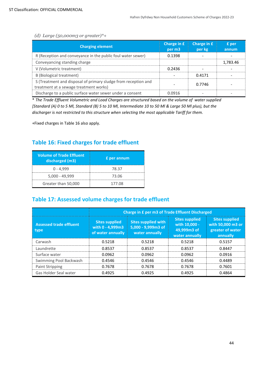*(d) Large (50,000m3 or greater)\*+*

| <b>Charging element</b>                                                                                  | Charge in £<br>per m3 | Charge in £<br>per kg | £ per<br>annum |
|----------------------------------------------------------------------------------------------------------|-----------------------|-----------------------|----------------|
| R (Reception and conveyance in the public foul water sewer)                                              | 0.1398                |                       |                |
| Conveyancing standing charge                                                                             |                       |                       | 1,783.46       |
| V (Volumetric treatment)                                                                                 | 0.2436                |                       |                |
| B (Biological treatment)                                                                                 |                       | 0.4171                |                |
| S (Treatment and disposal of primary sludge from reception and<br>treatment at a sewage treatment works) |                       | 0.7746                |                |
| Discharge to a public surface water sewer under a consent                                                | 0.0916                |                       |                |

\* *The Trade Effluent Volumetric and Load Charges are structured based on the volume of water supplied [Standard (A) 0 to 5 Ml, Standard (B) 5 to 10 Ml, Intermediate 10 to 50 Ml & Large 50 Ml plus), but the discharger is not restricted to this structure when selecting the most applicable Tariff for them.*

+Fixed charges in Table 16 also apply.

# **Table 16: Fixed charges for trade effluent**

| <b>Volume of Trade Effluent</b><br>discharged (m3) | <b>£</b> per annum |
|----------------------------------------------------|--------------------|
| $0 - 4,999$                                        | 78.37              |
| $5,000 - 49,999$                                   | 73.06              |
| Greater than 50,000                                | 177.08             |

# **Table 17: Assessed volume charges for trade effluent**

<span id="page-43-0"></span>

|                                        | Charge in £ per m3 of Trade Effluent Discharged                |                                                                    |                                                                         |                                                                            |
|----------------------------------------|----------------------------------------------------------------|--------------------------------------------------------------------|-------------------------------------------------------------------------|----------------------------------------------------------------------------|
| <b>Assessed trade effluent</b><br>type | <b>Sites supplied</b><br>with 0 - 4,999m3<br>of water annually | <b>Sites supplied with</b><br>5,000 - 9,999m3 of<br>water annually | <b>Sites supplied</b><br>with 10,000 -<br>49,999m3 of<br>water annually | <b>Sites supplied</b><br>with 50,000 m3 or<br>greater of water<br>annually |
| Carwash                                | 0.5218                                                         | 0.5218                                                             | 0.5218                                                                  | 0.5157                                                                     |
| Laundrette                             | 0.8537                                                         | 0.8537                                                             | 0.8537                                                                  | 0.8447                                                                     |
| Surface water                          | 0.0962                                                         | 0.0962                                                             | 0.0962                                                                  | 0.0916                                                                     |
| Swimming Pool Backwash                 | 0.4546                                                         | 0.4546                                                             | 0.4546                                                                  | 0.4489                                                                     |
| Paint Stripping                        | 0.7678                                                         | 0.7678                                                             | 0.7678                                                                  | 0.7601                                                                     |
| Gas Holder Seal water                  | 0.4925                                                         | 0.4925                                                             | 0.4925                                                                  | 0.4864                                                                     |